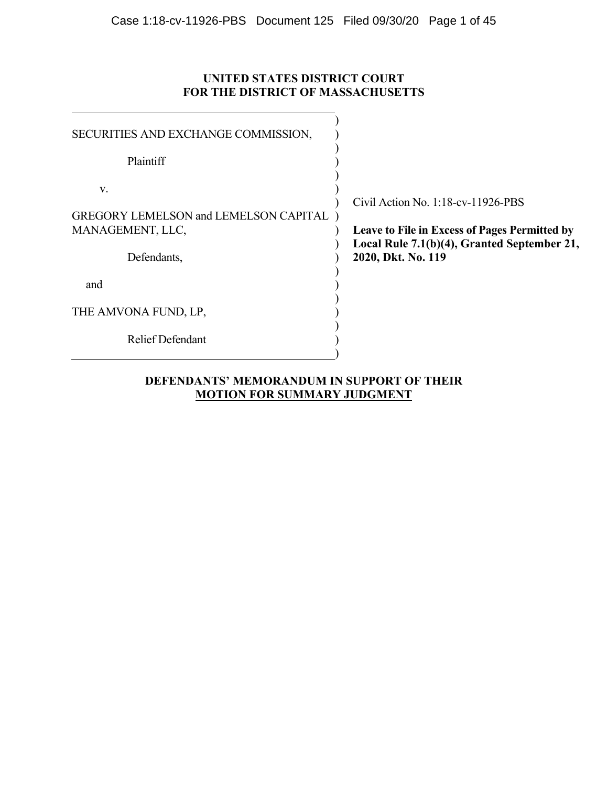# **UNITED STATES DISTRICT COURT FOR THE DISTRICT OF MASSACHUSETTS**

| SECURITIES AND EXCHANGE COMMISSION,                                                   |                                                                                                                                                                        |
|---------------------------------------------------------------------------------------|------------------------------------------------------------------------------------------------------------------------------------------------------------------------|
| Plaintiff                                                                             |                                                                                                                                                                        |
| V.<br><b>GREGORY LEMELSON and LEMELSON CAPITAL</b><br>MANAGEMENT, LLC,<br>Defendants, | Civil Action No. $1:18$ -cv- $11926$ -PBS<br><b>Leave to File in Excess of Pages Permitted by</b><br>Local Rule 7.1(b)(4), Granted September 21,<br>2020, Dkt. No. 119 |
| and                                                                                   |                                                                                                                                                                        |
| THE AMVONA FUND, LP,                                                                  |                                                                                                                                                                        |
| <b>Relief Defendant</b>                                                               |                                                                                                                                                                        |
|                                                                                       |                                                                                                                                                                        |

# **DEFENDANTS' MEMORANDUM IN SUPPORT OF THEIR MOTION FOR SUMMARY JUDGMENT**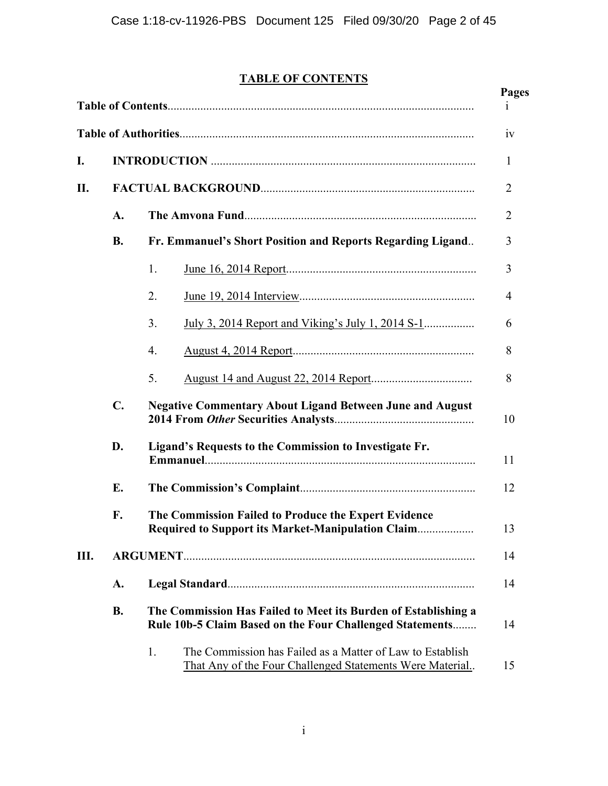# **TABLE OF CONTENTS**

|     |                                                              |                                                                                                                             | <b>Pages</b><br>1 |
|-----|--------------------------------------------------------------|-----------------------------------------------------------------------------------------------------------------------------|-------------------|
|     |                                                              |                                                                                                                             | 1V                |
| I.  |                                                              |                                                                                                                             | 1                 |
| II. |                                                              |                                                                                                                             | $\overline{2}$    |
|     | A.                                                           |                                                                                                                             |                   |
|     | <b>B.</b>                                                    | Fr. Emmanuel's Short Position and Reports Regarding Ligand                                                                  | 3                 |
|     |                                                              | 1.                                                                                                                          | 3                 |
|     |                                                              | 2.                                                                                                                          | 4                 |
|     |                                                              | 3.<br><u>July 3, 2014 Report and Viking's July 1, 2014 S-1</u>                                                              | 6                 |
|     |                                                              | 4.                                                                                                                          | 8                 |
|     |                                                              | 5.                                                                                                                          | 8                 |
|     | $\mathbf{C}$ .                                               | <b>Negative Commentary About Ligand Between June and August</b>                                                             | 10                |
|     | D.<br>Ligand's Requests to the Commission to Investigate Fr. |                                                                                                                             | 11                |
|     | E.                                                           |                                                                                                                             | 12                |
|     | F.                                                           | The Commission Failed to Produce the Expert Evidence<br><b>Required to Support its Market-Manipulation Claim</b>            | 13                |
| Ш.  |                                                              |                                                                                                                             | 14                |
|     | A.                                                           |                                                                                                                             | 14                |
|     | <b>B.</b>                                                    | The Commission Has Failed to Meet its Burden of Establishing a<br>Rule 10b-5 Claim Based on the Four Challenged Statements  | 14                |
|     |                                                              | The Commission has Failed as a Matter of Law to Establish<br>1.<br>That Any of the Four Challenged Statements Were Material | 15                |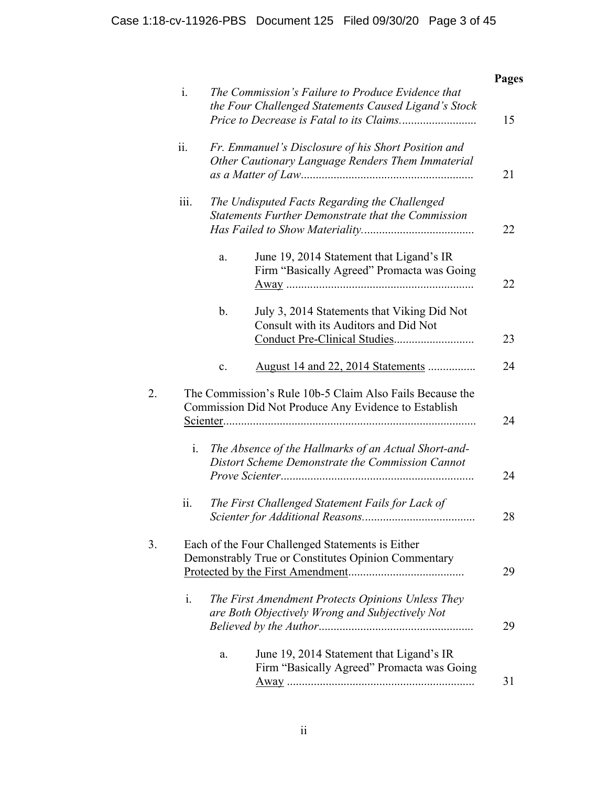|                |                                                                                                                  | <b>Pages</b> |
|----------------|------------------------------------------------------------------------------------------------------------------|--------------|
| $i$ .          | The Commission's Failure to Produce Evidence that<br>the Four Challenged Statements Caused Ligand's Stock        | 15           |
| ii.            | Fr. Emmanuel's Disclosure of his Short Position and<br>Other Cautionary Language Renders Them Immaterial         | 21           |
| iii.           | The Undisputed Facts Regarding the Challenged<br><b>Statements Further Demonstrate that the Commission</b>       | 22           |
|                | June 19, 2014 Statement that Ligand's IR<br>a.<br>Firm "Basically Agreed" Promacta was Going                     | 22           |
|                | $\mathbf b$ .<br>July 3, 2014 Statements that Viking Did Not<br>Consult with its Auditors and Did Not            | 23           |
|                | <u>August 14 and 22, 2014 Statements</u><br>c.                                                                   | 24           |
|                | The Commission's Rule 10b-5 Claim Also Fails Because the<br>Commission Did Not Produce Any Evidence to Establish | 24           |
| i.             | The Absence of the Hallmarks of an Actual Short-and-<br>Distort Scheme Demonstrate the Commission Cannot         | 24           |
| ii.            | The First Challenged Statement Fails for Lack of                                                                 | 28           |
|                | Each of the Four Challenged Statements is Either<br>Demonstrably True or Constitutes Opinion Commentary          | 29           |
| $\mathbf{i}$ . | The First Amendment Protects Opinions Unless They                                                                |              |
|                | are Both Objectively Wrong and Subjectively Not                                                                  | 29           |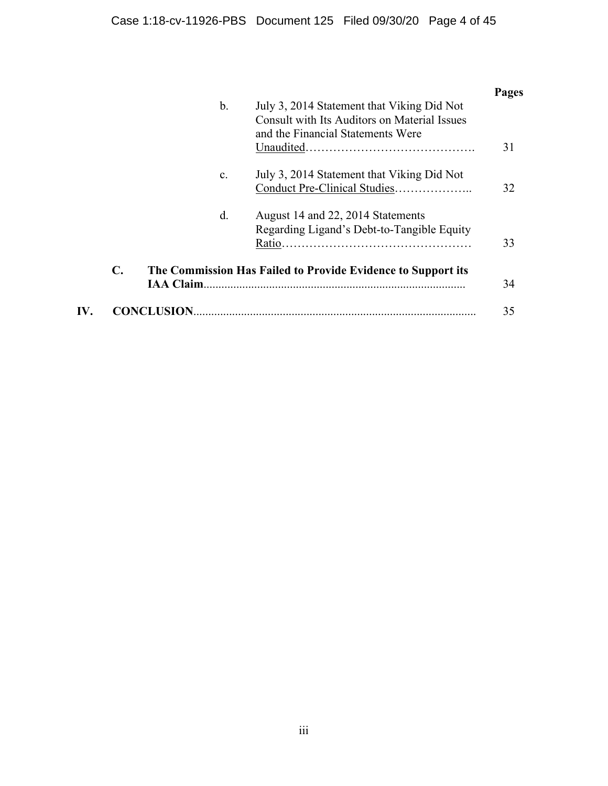|     |                |                   |                                                                                                                                        | Pages |
|-----|----------------|-------------------|----------------------------------------------------------------------------------------------------------------------------------------|-------|
|     |                | b.                | July 3, 2014 Statement that Viking Did Not<br><b>Consult with Its Auditors on Material Issues</b><br>and the Financial Statements Were | 31    |
|     |                | $\mathcal{C}$ .   | July 3, 2014 Statement that Viking Did Not                                                                                             | 32    |
|     |                | d.                | August 14 and 22, 2014 Statements<br>Regarding Ligand's Debt-to-Tangible Equity                                                        | 33    |
|     | $\mathbf{C}$ . | <b>IAA Claim</b>  | The Commission Has Failed to Provide Evidence to Support its                                                                           | 34    |
| IV. |                | <b>CONCLUSION</b> |                                                                                                                                        | 35    |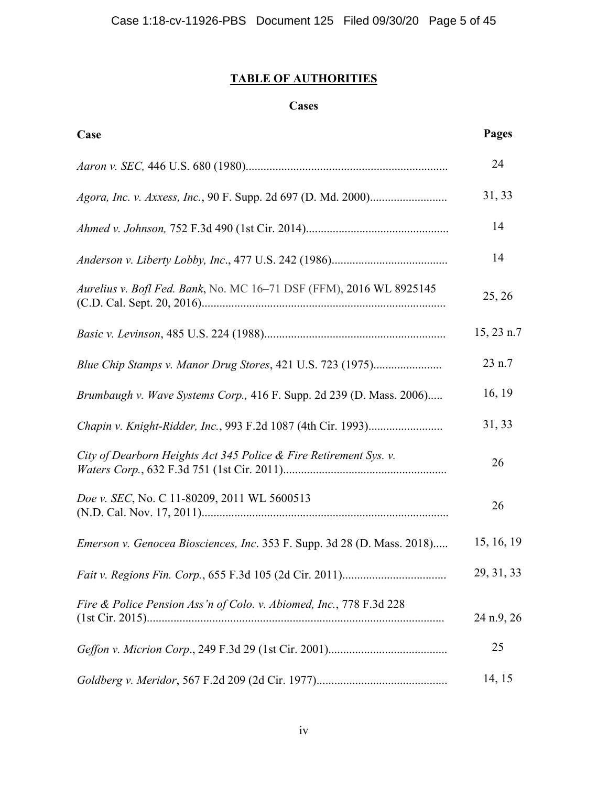# **TABLE OF AUTHORITIES**

# **Cases**

| Case                                                                    | Pages      |
|-------------------------------------------------------------------------|------------|
|                                                                         | 24         |
|                                                                         | 31, 33     |
|                                                                         | 14         |
|                                                                         | 14         |
| Aurelius v. Bofl Fed. Bank, No. MC 16-71 DSF (FFM), 2016 WL 8925145     | 25, 26     |
|                                                                         | 15, 23 n.7 |
| Blue Chip Stamps v. Manor Drug Stores, 421 U.S. 723 (1975)              | 23 n.7     |
| Brumbaugh v. Wave Systems Corp., 416 F. Supp. 2d 239 (D. Mass. 2006)    | 16, 19     |
|                                                                         | 31, 33     |
| City of Dearborn Heights Act 345 Police & Fire Retirement Sys. v.       | 26         |
| Doe v. SEC, No. C 11-80209, 2011 WL 5600513                             | 26         |
| Emerson v. Genocea Biosciences, Inc. 353 F. Supp. 3d 28 (D. Mass. 2018) | 15, 16, 19 |
|                                                                         | 29, 31, 33 |
| Fire & Police Pension Ass'n of Colo. v. Abiomed, Inc., 778 F.3d 228     | 24 n.9, 26 |
|                                                                         | 25         |
|                                                                         | 14, 15     |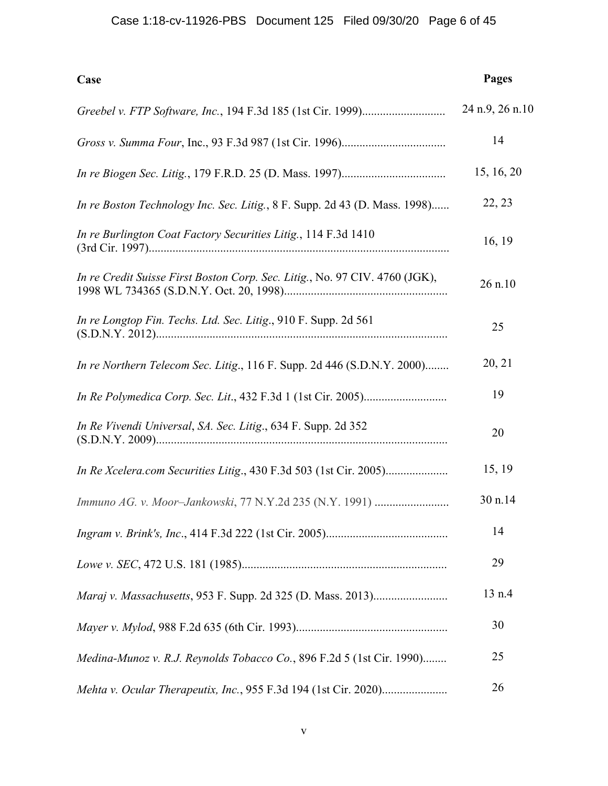# Case 1:18-cv-11926-PBS Document 125 Filed 09/30/20 Page 6 of 45

| Case                                                                        | <b>Pages</b>    |
|-----------------------------------------------------------------------------|-----------------|
|                                                                             | 24 n.9, 26 n.10 |
|                                                                             | 14              |
|                                                                             | 15, 16, 20      |
| In re Boston Technology Inc. Sec. Litig., 8 F. Supp. 2d 43 (D. Mass. 1998)  | 22, 23          |
| In re Burlington Coat Factory Securities Litig., 114 F.3d 1410              | 16, 19          |
| In re Credit Suisse First Boston Corp. Sec. Litig., No. 97 CIV. 4760 (JGK), | 26 n.10         |
| In re Longtop Fin. Techs. Ltd. Sec. Litig., 910 F. Supp. 2d 561             | 25              |
| In re Northern Telecom Sec. Litig., 116 F. Supp. 2d 446 (S.D.N.Y. 2000)     | 20, 21          |
|                                                                             | 19              |
| In Re Vivendi Universal, SA. Sec. Litig., 634 F. Supp. 2d 352               | 20              |
|                                                                             | 15, 19          |
| Immuno AG. v. Moor-Jankowski, 77 N.Y.2d 235 (N.Y. 1991)                     | 30 n.14         |
|                                                                             | 14              |
|                                                                             | 29              |
|                                                                             | 13 n.4          |
|                                                                             | 30              |
| Medina-Munoz v. R.J. Reynolds Tobacco Co., 896 F.2d 5 (1st Cir. 1990)       | 25              |
|                                                                             | 26              |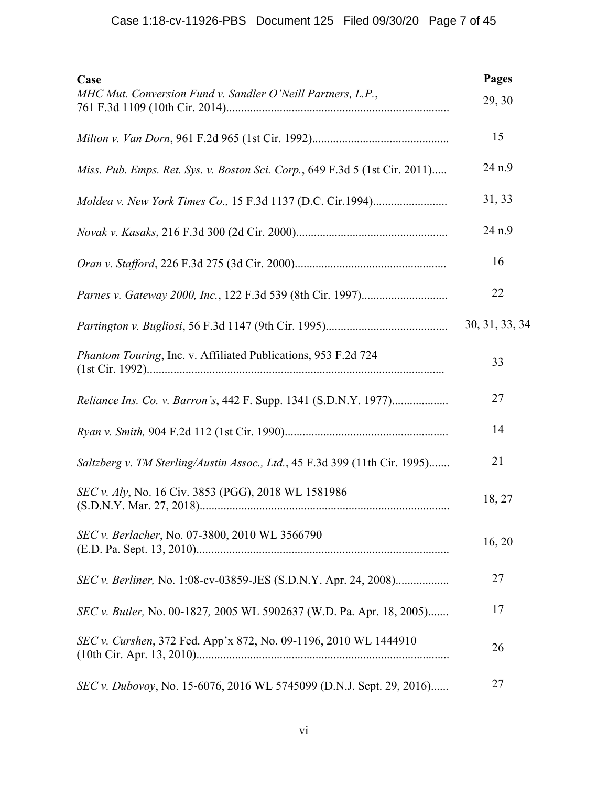| Case<br>MHC Mut. Conversion Fund v. Sandler O'Neill Partners, L.P.,         | Pages<br>29, 30 |
|-----------------------------------------------------------------------------|-----------------|
|                                                                             | 15              |
| Miss. Pub. Emps. Ret. Sys. v. Boston Sci. Corp., 649 F.3d 5 (1st Cir. 2011) | 24 n.9          |
|                                                                             | 31, 33          |
|                                                                             | 24 n.9          |
|                                                                             | 16              |
|                                                                             | 22              |
|                                                                             | 30, 31, 33, 34  |
| Phantom Touring, Inc. v. Affiliated Publications, 953 F.2d 724              | 33              |
|                                                                             | 27              |
|                                                                             | 14              |
| Saltzberg v. TM Sterling/Austin Assoc., Ltd., 45 F.3d 399 (11th Cir. 1995)  | 21              |
| SEC v. Aly, No. 16 Civ. 3853 (PGG), 2018 WL 1581986                         | 18, 27          |
| SEC v. Berlacher, No. 07-3800, 2010 WL 3566790                              | 16, 20          |
| <i>SEC v. Berliner</i> , No. 1:08-cv-03859-JES (S.D.N.Y. Apr. 24, 2008)     | 27              |
| SEC v. Butler, No. 00-1827, 2005 WL 5902637 (W.D. Pa. Apr. 18, 2005)        | 17              |
| <i>SEC v. Curshen, 372 Fed. App'x 872, No. 09-1196, 2010 WL 1444910</i>     | 26              |
| SEC v. Dubovoy, No. 15-6076, 2016 WL 5745099 (D.N.J. Sept. 29, 2016)        | 27              |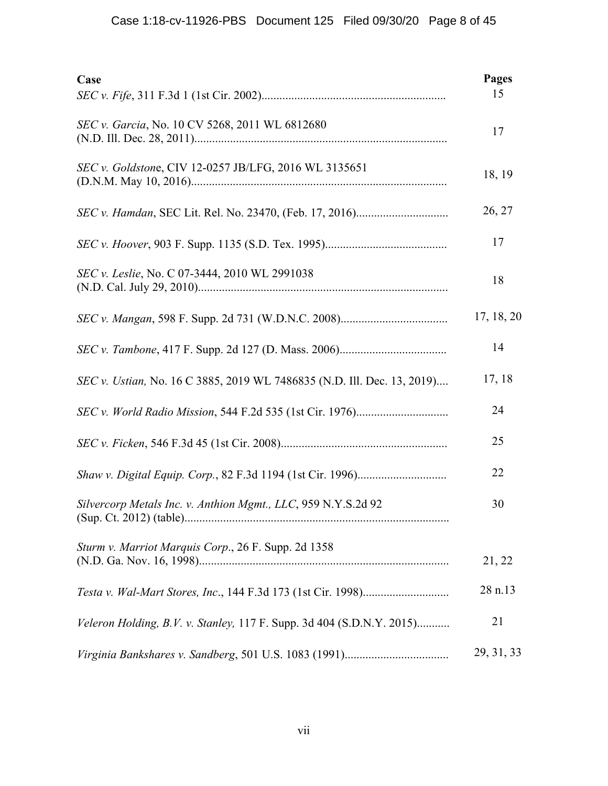| Case                                                                    | <b>Pages</b><br>15 |
|-------------------------------------------------------------------------|--------------------|
| SEC v. Garcia, No. 10 CV 5268, 2011 WL 6812680                          | 17                 |
| SEC v. Goldstone, CIV 12-0257 JB/LFG, 2016 WL 3135651                   | 18, 19             |
|                                                                         | 26, 27             |
|                                                                         | 17                 |
| SEC v. Leslie, No. C 07-3444, 2010 WL 2991038                           | 18                 |
|                                                                         | 17, 18, 20         |
|                                                                         | 14                 |
| SEC v. Ustian, No. 16 C 3885, 2019 WL 7486835 (N.D. Ill. Dec. 13, 2019) | 17, 18             |
|                                                                         | 24                 |
|                                                                         | 25                 |
|                                                                         | 22                 |
| Silvercorp Metals Inc. v. Anthion Mgmt., LLC, 959 N.Y.S.2d 92           | 30                 |
| Sturm v. Marriot Marquis Corp., 26 F. Supp. 2d 1358                     | 21, 22             |
|                                                                         | 28 n.13            |
| Veleron Holding, B.V. v. Stanley, 117 F. Supp. 3d 404 (S.D.N.Y. 2015)   | 21                 |
|                                                                         | 29, 31, 33         |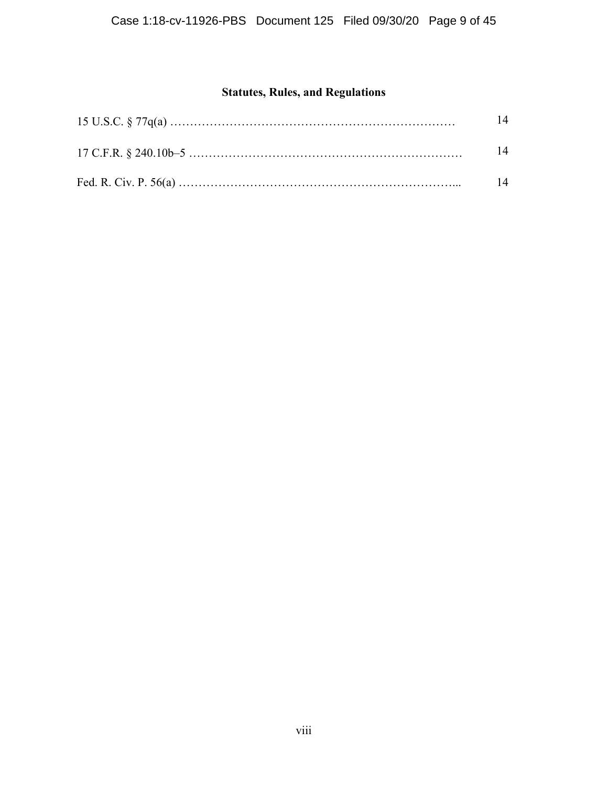# **Statutes, Rules, and Regulations**

| 14 |
|----|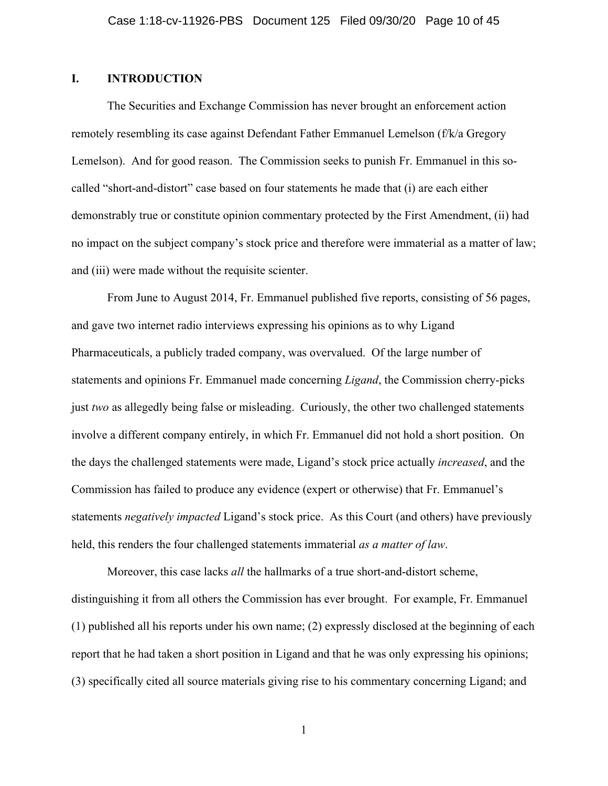## **I. INTRODUCTION**

The Securities and Exchange Commission has never brought an enforcement action remotely resembling its case against Defendant Father Emmanuel Lemelson (f/k/a Gregory Lemelson). And for good reason. The Commission seeks to punish Fr. Emmanuel in this socalled "short-and-distort" case based on four statements he made that (i) are each either demonstrably true or constitute opinion commentary protected by the First Amendment, (ii) had no impact on the subject company's stock price and therefore were immaterial as a matter of law; and (iii) were made without the requisite scienter.

From June to August 2014, Fr. Emmanuel published five reports, consisting of 56 pages, and gave two internet radio interviews expressing his opinions as to why Ligand Pharmaceuticals, a publicly traded company, was overvalued. Of the large number of statements and opinions Fr. Emmanuel made concerning *Ligand*, the Commission cherry-picks just *two* as allegedly being false or misleading. Curiously, the other two challenged statements involve a different company entirely, in which Fr. Emmanuel did not hold a short position. On the days the challenged statements were made, Ligand's stock price actually *increased*, and the Commission has failed to produce any evidence (expert or otherwise) that Fr. Emmanuel's statements *negatively impacted* Ligand's stock price. As this Court (and others) have previously held, this renders the four challenged statements immaterial *as a matter of law*.

Moreover, this case lacks *all* the hallmarks of a true short-and-distort scheme, distinguishing it from all others the Commission has ever brought. For example, Fr. Emmanuel (1) published all his reports under his own name; (2) expressly disclosed at the beginning of each report that he had taken a short position in Ligand and that he was only expressing his opinions; (3) specifically cited all source materials giving rise to his commentary concerning Ligand; and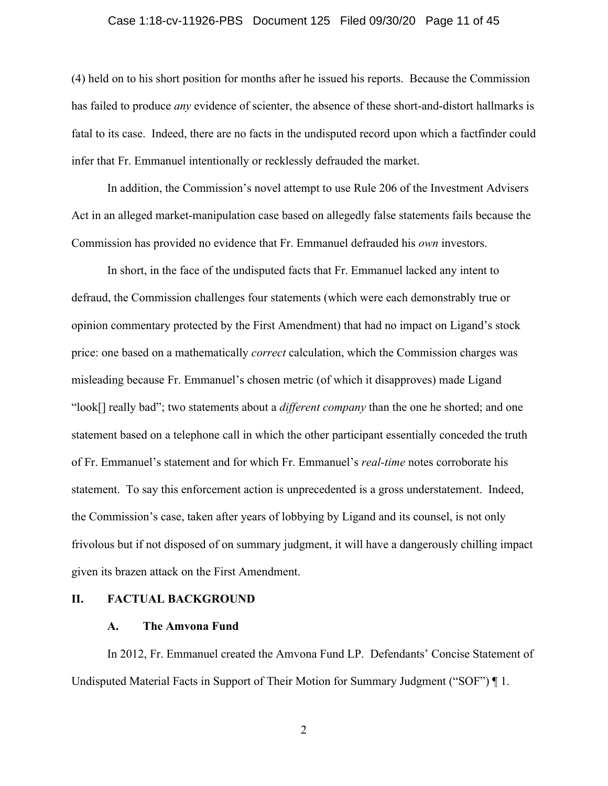# Case 1:18-cv-11926-PBS Document 125 Filed 09/30/20 Page 11 of 45

(4) held on to his short position for months after he issued his reports. Because the Commission has failed to produce *any* evidence of scienter, the absence of these short-and-distort hallmarks is fatal to its case. Indeed, there are no facts in the undisputed record upon which a factfinder could infer that Fr. Emmanuel intentionally or recklessly defrauded the market.

In addition, the Commission's novel attempt to use Rule 206 of the Investment Advisers Act in an alleged market-manipulation case based on allegedly false statements fails because the Commission has provided no evidence that Fr. Emmanuel defrauded his *own* investors.

In short, in the face of the undisputed facts that Fr. Emmanuel lacked any intent to defraud, the Commission challenges four statements (which were each demonstrably true or opinion commentary protected by the First Amendment) that had no impact on Ligand's stock price: one based on a mathematically *correct* calculation, which the Commission charges was misleading because Fr. Emmanuel's chosen metric (of which it disapproves) made Ligand "look[] really bad"; two statements about a *different company* than the one he shorted; and one statement based on a telephone call in which the other participant essentially conceded the truth of Fr. Emmanuel's statement and for which Fr. Emmanuel's *real-time* notes corroborate his statement. To say this enforcement action is unprecedented is a gross understatement. Indeed, the Commission's case, taken after years of lobbying by Ligand and its counsel, is not only frivolous but if not disposed of on summary judgment, it will have a dangerously chilling impact given its brazen attack on the First Amendment.

#### **II. FACTUAL BACKGROUND**

#### **A. The Amvona Fund**

In 2012, Fr. Emmanuel created the Amvona Fund LP. Defendants' Concise Statement of Undisputed Material Facts in Support of Their Motion for Summary Judgment ("SOF") ¶ 1.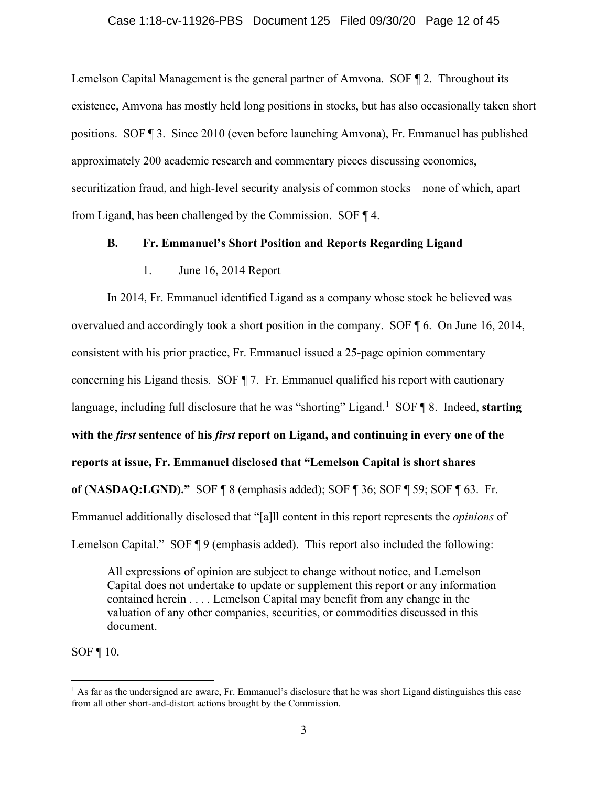Lemelson Capital Management is the general partner of Amvona. SOF ¶ 2. Throughout its existence, Amvona has mostly held long positions in stocks, but has also occasionally taken short positions. SOF ¶ 3. Since 2010 (even before launching Amvona), Fr. Emmanuel has published approximately 200 academic research and commentary pieces discussing economics, securitization fraud, and high-level security analysis of common stocks—none of which, apart from Ligand, has been challenged by the Commission. SOF ¶ 4.

### **B. Fr. Emmanuel's Short Position and Reports Regarding Ligand**

### 1. June 16, 2014 Report

In 2014, Fr. Emmanuel identified Ligand as a company whose stock he believed was overvalued and accordingly took a short position in the company. SOF ¶ 6. On June 16, 2014, consistent with his prior practice, Fr. Emmanuel issued a 25-page opinion commentary concerning his Ligand thesis. SOF ¶ 7. Fr. Emmanuel qualified his report with cautionary language, including full disclosure that he was "shorting" Ligand.<sup>[1](#page-11-0)</sup> SOF 18. Indeed, starting **with the** *first* **sentence of his** *first* **report on Ligand, and continuing in every one of the reports at issue, Fr. Emmanuel disclosed that "Lemelson Capital is short shares of (NASDAQ:LGND)."** SOF ¶ 8 (emphasis added); SOF ¶ 36; SOF ¶ 59; SOF ¶ 63. Fr. Emmanuel additionally disclosed that "[a]ll content in this report represents the *opinions* of Lemelson Capital." SOF ¶ 9 (emphasis added). This report also included the following:

All expressions of opinion are subject to change without notice, and Lemelson Capital does not undertake to update or supplement this report or any information contained herein . . . . Lemelson Capital may benefit from any change in the valuation of any other companies, securities, or commodities discussed in this document.

SOF ¶ 10.

<span id="page-11-0"></span><sup>&</sup>lt;sup>1</sup> As far as the undersigned are aware, Fr. Emmanuel's disclosure that he was short Ligand distinguishes this case from all other short-and-distort actions brought by the Commission.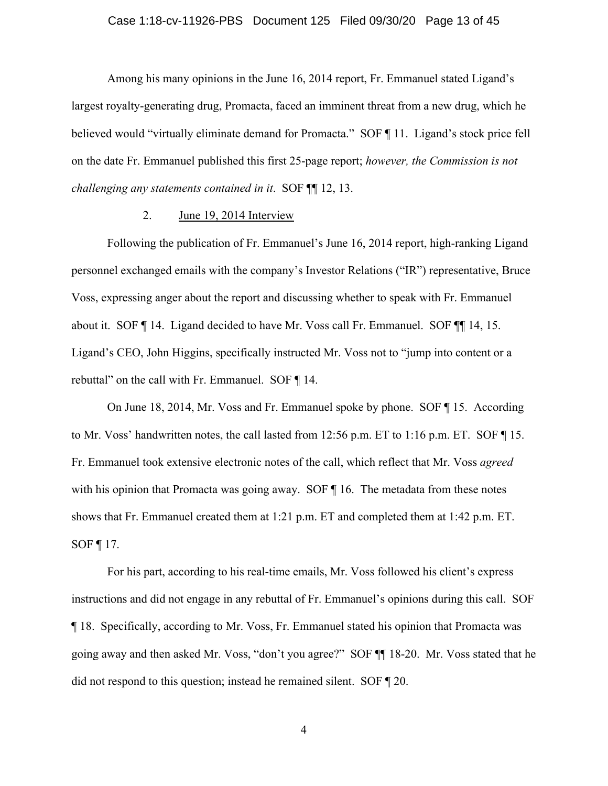#### Case 1:18-cv-11926-PBS Document 125 Filed 09/30/20 Page 13 of 45

Among his many opinions in the June 16, 2014 report, Fr. Emmanuel stated Ligand's largest royalty-generating drug, Promacta, faced an imminent threat from a new drug, which he believed would "virtually eliminate demand for Promacta." SOF ¶ 11. Ligand's stock price fell on the date Fr. Emmanuel published this first 25-page report; *however, the Commission is not challenging any statements contained in it*. SOF ¶¶ 12, 13.

#### 2. June 19, 2014 Interview

Following the publication of Fr. Emmanuel's June 16, 2014 report, high-ranking Ligand personnel exchanged emails with the company's Investor Relations ("IR") representative, Bruce Voss, expressing anger about the report and discussing whether to speak with Fr. Emmanuel about it. SOF ¶ 14. Ligand decided to have Mr. Voss call Fr. Emmanuel. SOF ¶¶ 14, 15. Ligand's CEO, John Higgins, specifically instructed Mr. Voss not to "jump into content or a rebuttal" on the call with Fr. Emmanuel. SOF ¶ 14.

On June 18, 2014, Mr. Voss and Fr. Emmanuel spoke by phone. SOF ¶ 15. According to Mr. Voss' handwritten notes, the call lasted from 12:56 p.m. ET to 1:16 p.m. ET. SOF ¶ 15. Fr. Emmanuel took extensive electronic notes of the call, which reflect that Mr. Voss *agreed* with his opinion that Promacta was going away. SOF  $\P$  16. The metadata from these notes shows that Fr. Emmanuel created them at 1:21 p.m. ET and completed them at 1:42 p.m. ET. SOF ¶ 17.

For his part, according to his real-time emails, Mr. Voss followed his client's express instructions and did not engage in any rebuttal of Fr. Emmanuel's opinions during this call. SOF ¶ 18. Specifically, according to Mr. Voss, Fr. Emmanuel stated his opinion that Promacta was going away and then asked Mr. Voss, "don't you agree?" SOF ¶¶ 18-20. Mr. Voss stated that he did not respond to this question; instead he remained silent. SOF ¶ 20.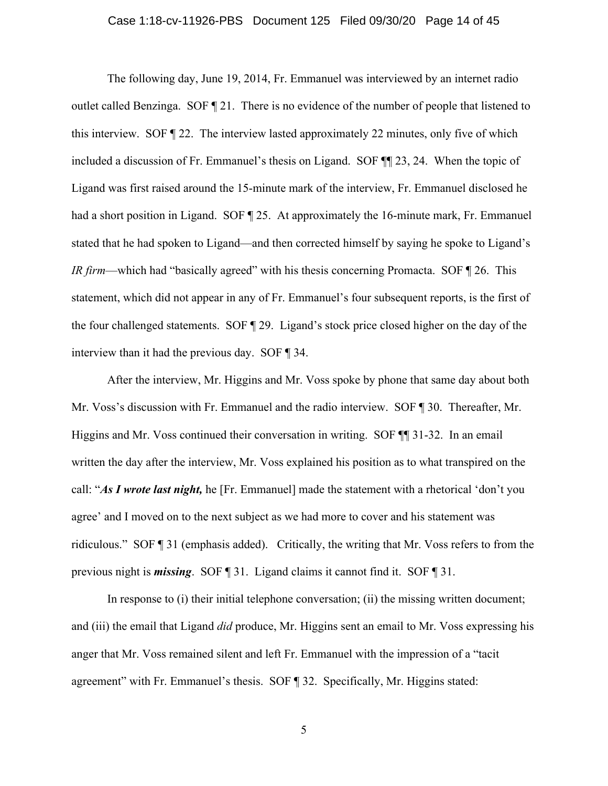#### Case 1:18-cv-11926-PBS Document 125 Filed 09/30/20 Page 14 of 45

The following day, June 19, 2014, Fr. Emmanuel was interviewed by an internet radio outlet called Benzinga. SOF ¶ 21. There is no evidence of the number of people that listened to this interview. SOF ¶ 22. The interview lasted approximately 22 minutes, only five of which included a discussion of Fr. Emmanuel's thesis on Ligand.SOF ¶¶ 23, 24. When the topic of Ligand was first raised around the 15-minute mark of the interview, Fr. Emmanuel disclosed he had a short position in Ligand. SOF 125. At approximately the 16-minute mark, Fr. Emmanuel stated that he had spoken to Ligand—and then corrected himself by saying he spoke to Ligand's *IR firm*—which had "basically agreed" with his thesis concerning Promacta. SOF ¶ 26. This statement, which did not appear in any of Fr. Emmanuel's four subsequent reports, is the first of the four challenged statements. SOF ¶ 29. Ligand's stock price closed higher on the day of the interview than it had the previous day. SOF ¶ 34.

After the interview, Mr. Higgins and Mr. Voss spoke by phone that same day about both Mr. Voss's discussion with Fr. Emmanuel and the radio interview. SOF ¶ 30. Thereafter, Mr. Higgins and Mr. Voss continued their conversation in writing. SOF ¶¶ 31-32. In an email written the day after the interview, Mr. Voss explained his position as to what transpired on the call: "*As I wrote last night,* he [Fr. Emmanuel] made the statement with a rhetorical 'don't you agree' and I moved on to the next subject as we had more to cover and his statement was ridiculous." SOF ¶ 31 (emphasis added). Critically, the writing that Mr. Voss refers to from the previous night is *missing*. SOF ¶ 31. Ligand claims it cannot find it. SOF ¶ 31.

In response to (i) their initial telephone conversation; (ii) the missing written document; and (iii) the email that Ligand *did* produce, Mr. Higgins sent an email to Mr. Voss expressing his anger that Mr. Voss remained silent and left Fr. Emmanuel with the impression of a "tacit agreement" with Fr. Emmanuel's thesis. SOF ¶ 32. Specifically, Mr. Higgins stated: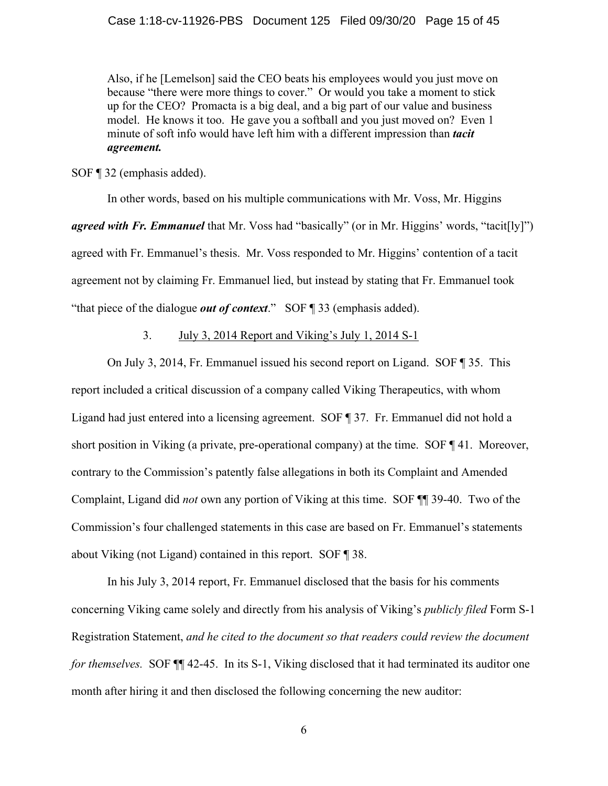Also, if he [Lemelson] said the CEO beats his employees would you just move on because "there were more things to cover." Or would you take a moment to stick up for the CEO? Promacta is a big deal, and a big part of our value and business model. He knows it too. He gave you a softball and you just moved on? Even 1 minute of soft info would have left him with a different impression than *tacit agreement.*

SOF ¶ 32 (emphasis added).

In other words, based on his multiple communications with Mr. Voss, Mr. Higgins *agreed with Fr. Emmanuel* that Mr. Voss had "basically" (or in Mr. Higgins' words, "tacit[ly]") agreed with Fr. Emmanuel's thesis. Mr. Voss responded to Mr. Higgins' contention of a tacit agreement not by claiming Fr. Emmanuel lied, but instead by stating that Fr. Emmanuel took "that piece of the dialogue *out of context*." SOF ¶ 33 (emphasis added).

3. July 3, 2014 Report and Viking's July 1, 2014 S-1

On July 3, 2014, Fr. Emmanuel issued his second report on Ligand. SOF ¶ 35. This report included a critical discussion of a company called Viking Therapeutics, with whom Ligand had just entered into a licensing agreement. SOF ¶ 37. Fr. Emmanuel did not hold a short position in Viking (a private, pre-operational company) at the time. SOF ¶ 41. Moreover, contrary to the Commission's patently false allegations in both its Complaint and Amended Complaint, Ligand did *not* own any portion of Viking at this time. SOF ¶¶ 39-40. Two of the Commission's four challenged statements in this case are based on Fr. Emmanuel's statements about Viking (not Ligand) contained in this report. SOF ¶ 38.

In his July 3, 2014 report, Fr. Emmanuel disclosed that the basis for his comments concerning Viking came solely and directly from his analysis of Viking's *publicly filed* Form S-1 Registration Statement, *and he cited to the document so that readers could review the document for themselves.* SOF  $\P$  42-45. In its S-1, Viking disclosed that it had terminated its auditor one month after hiring it and then disclosed the following concerning the new auditor: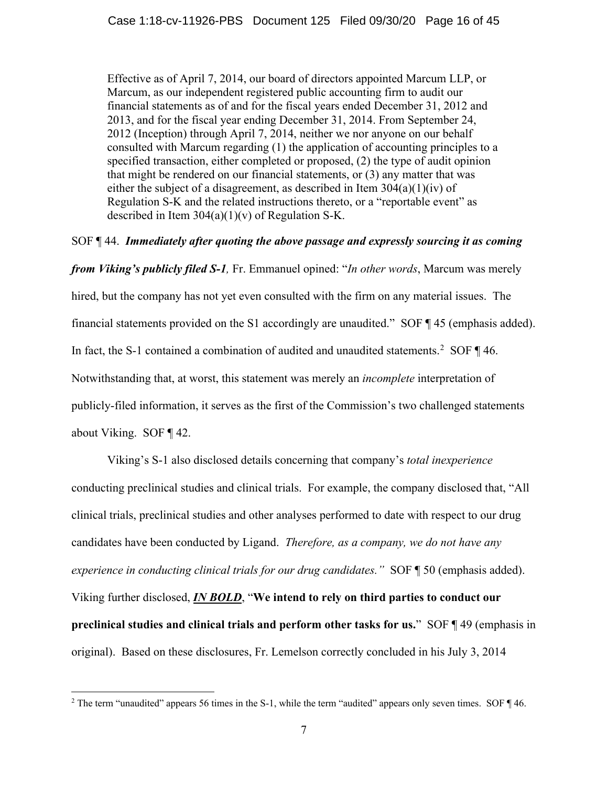Effective as of April 7, 2014, our board of directors appointed Marcum LLP, or Marcum, as our independent registered public accounting firm to audit our financial statements as of and for the fiscal years ended December 31, 2012 and 2013, and for the fiscal year ending December 31, 2014. From September 24, 2012 (Inception) through April 7, 2014, neither we nor anyone on our behalf consulted with Marcum regarding (1) the application of accounting principles to a specified transaction, either completed or proposed, (2) the type of audit opinion that might be rendered on our financial statements, or (3) any matter that was either the subject of a disagreement, as described in Item 304(a)(1)(iv) of Regulation S-K and the related instructions thereto, or a "reportable event" as described in Item  $304(a)(1)(v)$  of Regulation S-K.

### SOF ¶ 44. *Immediately after quoting the above passage and expressly sourcing it as coming*

*from Viking's publicly filed S-1,* Fr. Emmanuel opined: "*In other words*, Marcum was merely hired, but the company has not yet even consulted with the firm on any material issues. The financial statements provided on the S1 accordingly are unaudited." SOF ¶ 45 (emphasis added). In fact, the S-1 contained a combination of audited and unaudited statements.<sup>[2](#page-15-0)</sup> SOF  $\P$  46. Notwithstanding that, at worst, this statement was merely an *incomplete* interpretation of publicly-filed information, it serves as the first of the Commission's two challenged statements about Viking. SOF ¶ 42.

Viking's S-1 also disclosed details concerning that company's *total inexperience* conducting preclinical studies and clinical trials. For example, the company disclosed that, "All clinical trials, preclinical studies and other analyses performed to date with respect to our drug candidates have been conducted by Ligand. *Therefore, as a company, we do not have any experience in conducting clinical trials for our drug candidates."* SOF ¶ 50 (emphasis added). Viking further disclosed, *IN BOLD*, "**We intend to rely on third parties to conduct our preclinical studies and clinical trials and perform other tasks for us.**" SOF ¶ 49 (emphasis in original). Based on these disclosures, Fr. Lemelson correctly concluded in his July 3, 2014

<span id="page-15-0"></span><sup>&</sup>lt;sup>2</sup> The term "unaudited" appears 56 times in the S-1, while the term "audited" appears only seven times. SOF ¶ 46.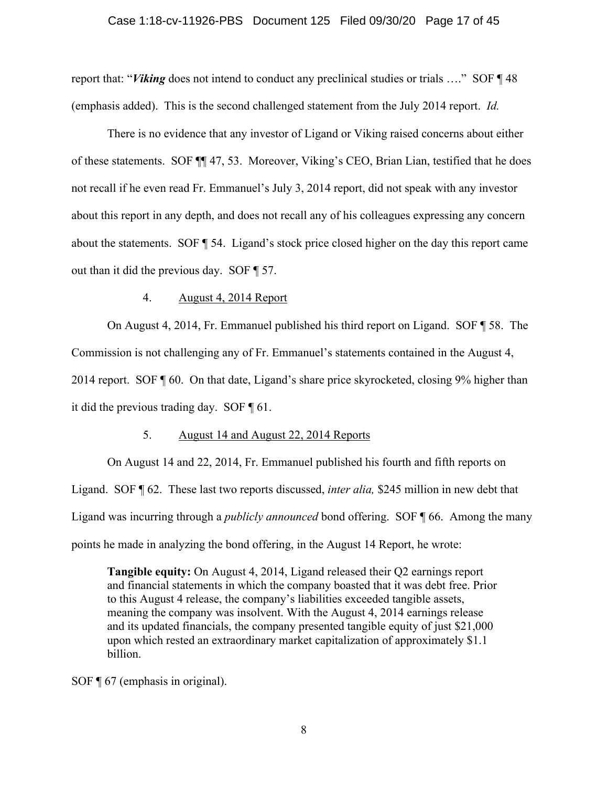### Case 1:18-cv-11926-PBS Document 125 Filed 09/30/20 Page 17 of 45

report that: "*Viking* does not intend to conduct any preclinical studies or trials …." SOF ¶ 48 (emphasis added). This is the second challenged statement from the July 2014 report. *Id.*

There is no evidence that any investor of Ligand or Viking raised concerns about either of these statements. SOF ¶¶ 47, 53. Moreover, Viking's CEO, Brian Lian, testified that he does not recall if he even read Fr. Emmanuel's July 3, 2014 report, did not speak with any investor about this report in any depth, and does not recall any of his colleagues expressing any concern about the statements. SOF ¶ 54. Ligand's stock price closed higher on the day this report came out than it did the previous day. SOF ¶ 57.

### 4. August 4, 2014 Report

On August 4, 2014, Fr. Emmanuel published his third report on Ligand. SOF ¶ 58. The Commission is not challenging any of Fr. Emmanuel's statements contained in the August 4, 2014 report. SOF ¶ 60. On that date, Ligand's share price skyrocketed, closing 9% higher than it did the previous trading day. SOF ¶ 61.

#### 5. August 14 and August 22, 2014 Reports

On August 14 and 22, 2014, Fr. Emmanuel published his fourth and fifth reports on Ligand. SOF ¶ 62. These last two reports discussed, *inter alia,* \$245 million in new debt that Ligand was incurring through a *publicly announced* bond offering. SOF ¶ 66. Among the many points he made in analyzing the bond offering, in the August 14 Report, he wrote:

**Tangible equity:** On August 4, 2014, Ligand released their Q2 earnings report and financial statements in which the company boasted that it was debt free. Prior to this August 4 release, the company's liabilities exceeded tangible assets, meaning the company was insolvent. With the August 4, 2014 earnings release and its updated financials, the company presented tangible equity of just \$21,000 upon which rested an extraordinary market capitalization of approximately \$1.1 billion.

SOF ¶ 67 (emphasis in original).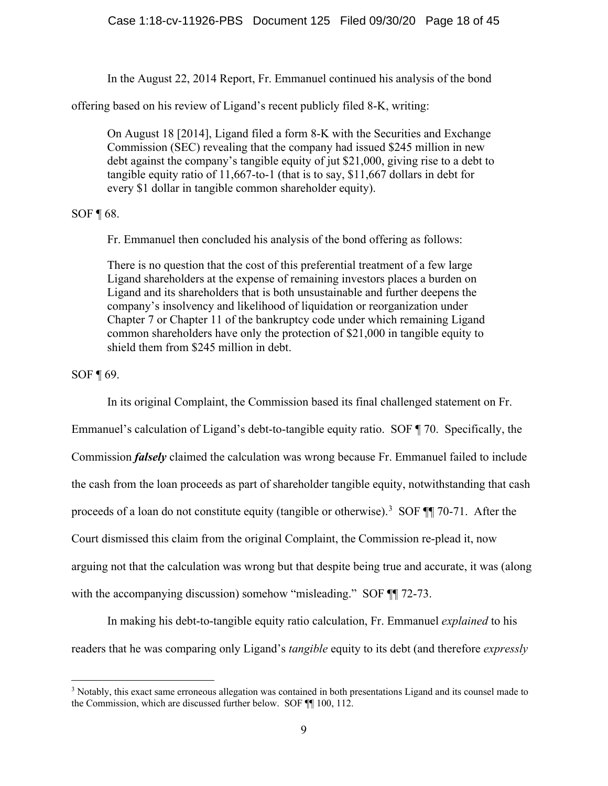In the August 22, 2014 Report, Fr. Emmanuel continued his analysis of the bond

offering based on his review of Ligand's recent publicly filed 8-K, writing:

On August 18 [2014], Ligand filed a form 8-K with the Securities and Exchange Commission (SEC) revealing that the company had issued \$245 million in new debt against the company's tangible equity of jut \$21,000, giving rise to a debt to tangible equity ratio of 11,667-to-1 (that is to say, \$11,667 dollars in debt for every \$1 dollar in tangible common shareholder equity).

### SOF ¶ 68.

Fr. Emmanuel then concluded his analysis of the bond offering as follows:

There is no question that the cost of this preferential treatment of a few large Ligand shareholders at the expense of remaining investors places a burden on Ligand and its shareholders that is both unsustainable and further deepens the company's insolvency and likelihood of liquidation or reorganization under Chapter 7 or Chapter 11 of the bankruptcy code under which remaining Ligand common shareholders have only the protection of \$21,000 in tangible equity to shield them from \$245 million in debt.

SOF ¶ 69.

In its original Complaint, the Commission based its final challenged statement on Fr.

Emmanuel's calculation of Ligand's debt-to-tangible equity ratio. SOF ¶ 70. Specifically, the Commission *falsely* claimed the calculation was wrong because Fr. Emmanuel failed to include the cash from the loan proceeds as part of shareholder tangible equity, notwithstanding that cash proceeds of a loan do not constitute equity (tangible or otherwise).<sup>[3](#page-17-0)</sup> SOF ¶ 70-71. After the Court dismissed this claim from the original Complaint, the Commission re-plead it, now

arguing not that the calculation was wrong but that despite being true and accurate, it was (along

with the accompanying discussion) somehow "misleading." SOF  $\P$  72-73.

In making his debt-to-tangible equity ratio calculation, Fr. Emmanuel *explained* to his readers that he was comparing only Ligand's *tangible* equity to its debt (and therefore *expressly* 

<span id="page-17-0"></span><sup>3</sup> Notably, this exact same erroneous allegation was contained in both presentations Ligand and its counsel made to the Commission, which are discussed further below. SOF ¶¶ 100, 112.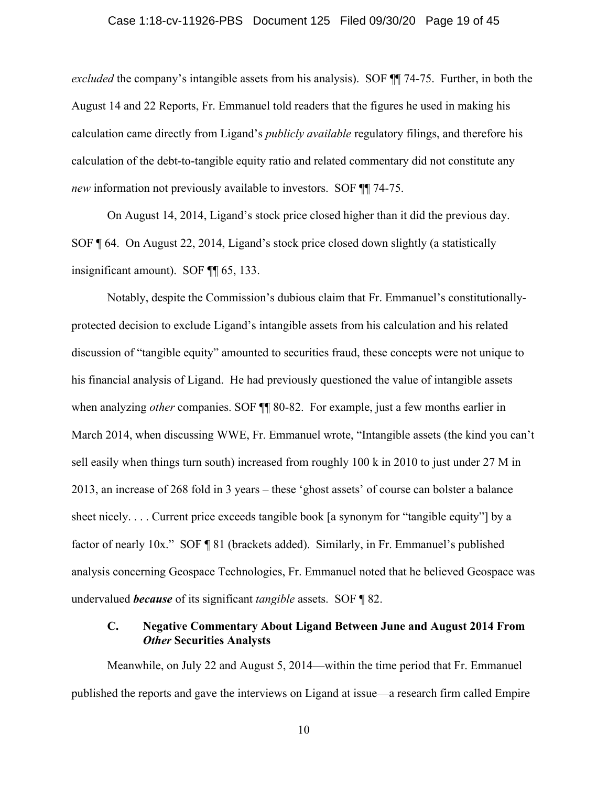#### Case 1:18-cv-11926-PBS Document 125 Filed 09/30/20 Page 19 of 45

*excluded* the company's intangible assets from his analysis). SOF ¶¶ 74-75. Further, in both the August 14 and 22 Reports, Fr. Emmanuel told readers that the figures he used in making his calculation came directly from Ligand's *publicly available* regulatory filings, and therefore his calculation of the debt-to-tangible equity ratio and related commentary did not constitute any *new* information not previously available to investors. SOF **[14-75.**]

On August 14, 2014, Ligand's stock price closed higher than it did the previous day. SOF ¶ 64. On August 22, 2014, Ligand's stock price closed down slightly (a statistically insignificant amount). SOF ¶¶ 65, 133.

Notably, despite the Commission's dubious claim that Fr. Emmanuel's constitutionallyprotected decision to exclude Ligand's intangible assets from his calculation and his related discussion of "tangible equity" amounted to securities fraud, these concepts were not unique to his financial analysis of Ligand. He had previously questioned the value of intangible assets when analyzing *other* companies. SOF **[1]** 80-82. For example, just a few months earlier in March 2014, when discussing WWE, Fr. Emmanuel wrote, "Intangible assets (the kind you can't sell easily when things turn south) increased from roughly 100 k in 2010 to just under 27 M in 2013, an increase of 268 fold in 3 years – these 'ghost assets' of course can bolster a balance sheet nicely. . . . Current price exceeds tangible book [a synonym for "tangible equity"] by a factor of nearly 10x." SOF ¶ 81 (brackets added). Similarly, in Fr. Emmanuel's published analysis concerning Geospace Technologies, Fr. Emmanuel noted that he believed Geospace was undervalued *because* of its significant *tangible* assets. SOF ¶ 82.

### **C. Negative Commentary About Ligand Between June and August 2014 From**  *Other* **Securities Analysts**

Meanwhile, on July 22 and August 5, 2014—within the time period that Fr. Emmanuel published the reports and gave the interviews on Ligand at issue—a research firm called Empire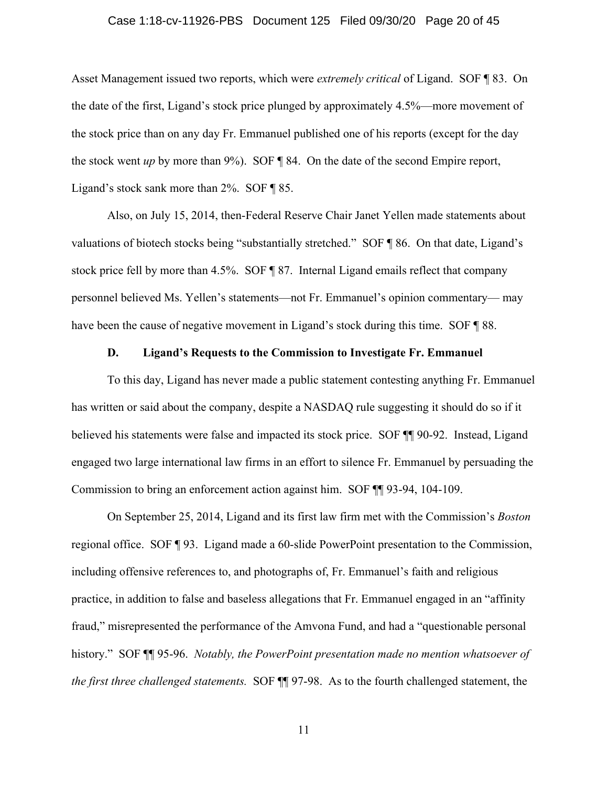#### Case 1:18-cv-11926-PBS Document 125 Filed 09/30/20 Page 20 of 45

Asset Management issued two reports, which were *extremely critical* of Ligand. SOF ¶ 83. On the date of the first, Ligand's stock price plunged by approximately 4.5%—more movement of the stock price than on any day Fr. Emmanuel published one of his reports (except for the day the stock went *up* by more than 9%). SOF ¶ 84. On the date of the second Empire report, Ligand's stock sank more than 2%. SOF ¶ 85.

Also, on July 15, 2014, then-Federal Reserve Chair Janet Yellen made statements about valuations of biotech stocks being "substantially stretched." SOF ¶ 86. On that date, Ligand's stock price fell by more than 4.5%. SOF ¶ 87. Internal Ligand emails reflect that company personnel believed Ms. Yellen's statements—not Fr. Emmanuel's opinion commentary— may have been the cause of negative movement in Ligand's stock during this time. SOF  $\sqrt{\phantom{a}}$  88.

#### **D. Ligand's Requests to the Commission to Investigate Fr. Emmanuel**

To this day, Ligand has never made a public statement contesting anything Fr. Emmanuel has written or said about the company, despite a NASDAQ rule suggesting it should do so if it believed his statements were false and impacted its stock price. SOF ¶¶ 90-92. Instead, Ligand engaged two large international law firms in an effort to silence Fr. Emmanuel by persuading the Commission to bring an enforcement action against him. SOF ¶¶ 93-94, 104-109.

On September 25, 2014, Ligand and its first law firm met with the Commission's *Boston* regional office. SOF ¶ 93. Ligand made a 60-slide PowerPoint presentation to the Commission, including offensive references to, and photographs of, Fr. Emmanuel's faith and religious practice, in addition to false and baseless allegations that Fr. Emmanuel engaged in an "affinity fraud," misrepresented the performance of the Amvona Fund, and had a "questionable personal history." SOF ¶¶ 95-96. *Notably, the PowerPoint presentation made no mention whatsoever of the first three challenged statements.* SOF ¶¶ 97-98. As to the fourth challenged statement, the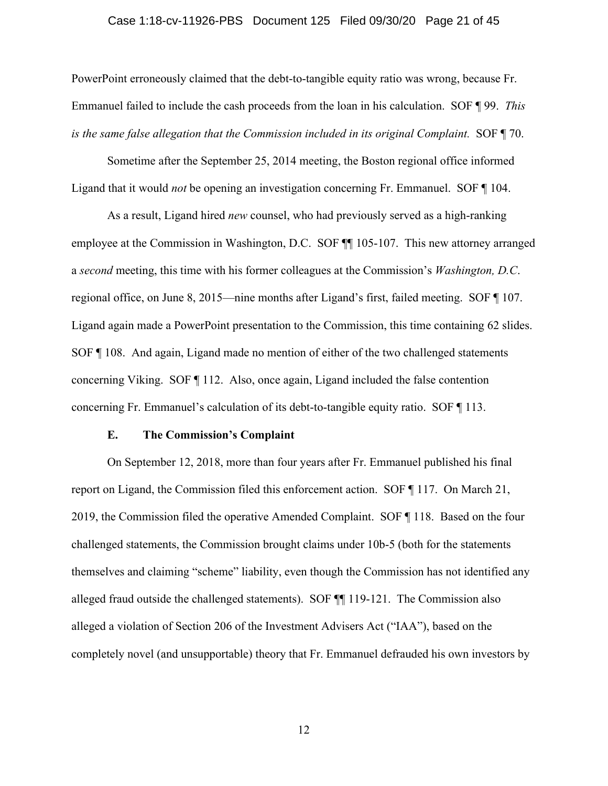# Case 1:18-cv-11926-PBS Document 125 Filed 09/30/20 Page 21 of 45

PowerPoint erroneously claimed that the debt-to-tangible equity ratio was wrong, because Fr. Emmanuel failed to include the cash proceeds from the loan in his calculation. SOF ¶ 99. *This is the same false allegation that the Commission included in its original Complaint.* SOF ¶ 70.

Sometime after the September 25, 2014 meeting, the Boston regional office informed Ligand that it would *not* be opening an investigation concerning Fr. Emmanuel. SOF ¶ 104.

As a result, Ligand hired *new* counsel, who had previously served as a high-ranking employee at the Commission in Washington, D.C. SOF ¶¶ 105-107. This new attorney arranged a *second* meeting, this time with his former colleagues at the Commission's *Washington, D.C*. regional office, on June 8, 2015—nine months after Ligand's first, failed meeting. SOF ¶ 107. Ligand again made a PowerPoint presentation to the Commission, this time containing 62 slides. SOF ¶ 108. And again, Ligand made no mention of either of the two challenged statements concerning Viking. SOF ¶ 112. Also, once again, Ligand included the false contention concerning Fr. Emmanuel's calculation of its debt-to-tangible equity ratio. SOF ¶ 113.

#### **E. The Commission's Complaint**

On September 12, 2018, more than four years after Fr. Emmanuel published his final report on Ligand, the Commission filed this enforcement action. SOF ¶ 117. On March 21, 2019, the Commission filed the operative Amended Complaint. SOF ¶ 118. Based on the four challenged statements, the Commission brought claims under 10b-5 (both for the statements themselves and claiming "scheme" liability, even though the Commission has not identified any alleged fraud outside the challenged statements). SOF ¶¶ 119-121. The Commission also alleged a violation of Section 206 of the Investment Advisers Act ("IAA"), based on the completely novel (and unsupportable) theory that Fr. Emmanuel defrauded his own investors by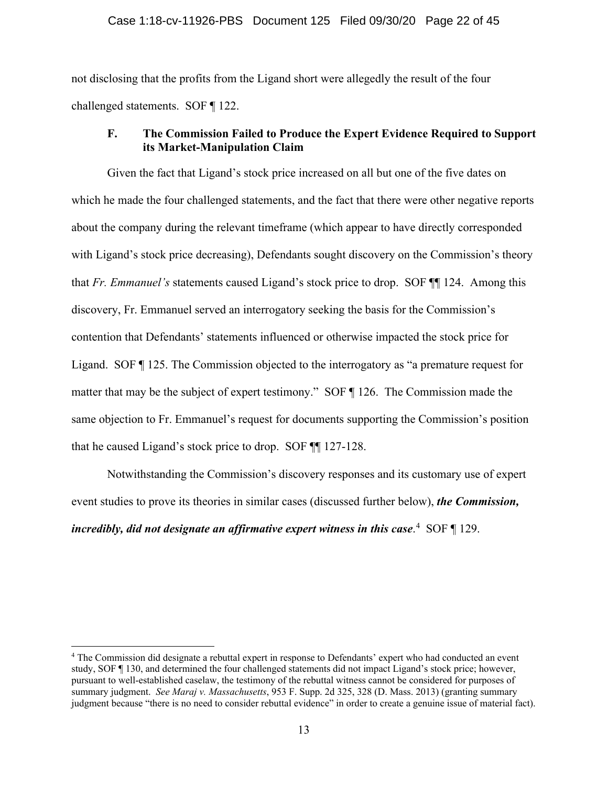not disclosing that the profits from the Ligand short were allegedly the result of the four challenged statements. SOF ¶ 122.

### **F. The Commission Failed to Produce the Expert Evidence Required to Support its Market-Manipulation Claim**

Given the fact that Ligand's stock price increased on all but one of the five dates on which he made the four challenged statements, and the fact that there were other negative reports about the company during the relevant timeframe (which appear to have directly corresponded with Ligand's stock price decreasing), Defendants sought discovery on the Commission's theory that *Fr. Emmanuel's* statements caused Ligand's stock price to drop. SOF ¶¶ 124. Among this discovery, Fr. Emmanuel served an interrogatory seeking the basis for the Commission's contention that Defendants' statements influenced or otherwise impacted the stock price for Ligand. SOF ¶ 125. The Commission objected to the interrogatory as "a premature request for matter that may be the subject of expert testimony." SOF ¶ 126. The Commission made the same objection to Fr. Emmanuel's request for documents supporting the Commission's position that he caused Ligand's stock price to drop. SOF ¶¶ 127-128.

Notwithstanding the Commission's discovery responses and its customary use of expert event studies to prove its theories in similar cases (discussed further below), *the Commission, incredibly, did not designate an affirmative expert witness in this case*. [4](#page-21-0) SOF ¶ 129.

<span id="page-21-0"></span><sup>4</sup> The Commission did designate a rebuttal expert in response to Defendants' expert who had conducted an event study, SOF ¶ 130, and determined the four challenged statements did not impact Ligand's stock price; however, pursuant to well-established caselaw, the testimony of the rebuttal witness cannot be considered for purposes of summary judgment. *See Maraj v. Massachusetts*, 953 F. Supp. 2d 325, 328 (D. Mass. 2013) (granting summary judgment because "there is no need to consider rebuttal evidence" in order to create a genuine issue of material fact).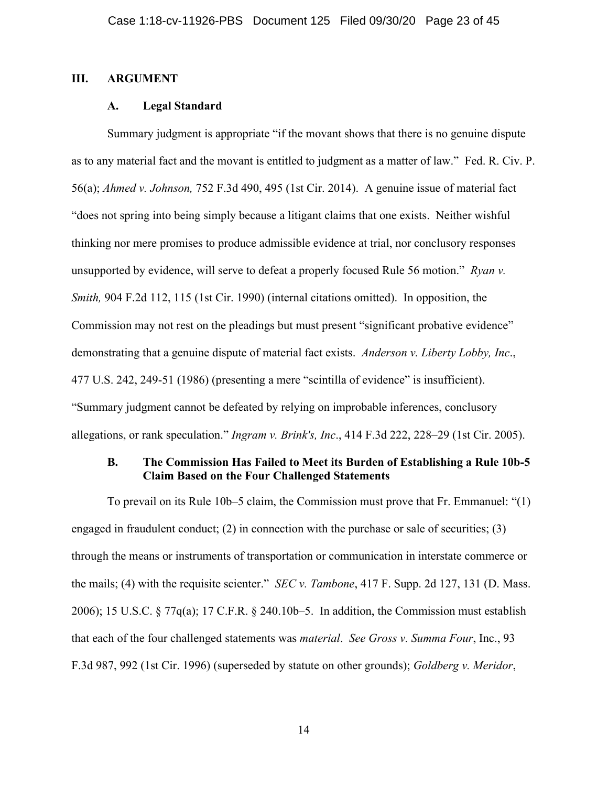#### **III. ARGUMENT**

#### **A. Legal Standard**

Summary judgment is appropriate "if the movant shows that there is no genuine dispute as to any material fact and the movant is entitled to judgment as a matter of law." Fed. R. Civ. P. 56(a); *Ahmed v. Johnson,* 752 F.3d 490, 495 (1st Cir. 2014). A genuine issue of material fact "does not spring into being simply because a litigant claims that one exists. Neither wishful thinking nor mere promises to produce admissible evidence at trial, nor conclusory responses unsupported by evidence, will serve to defeat a properly focused Rule 56 motion." *Ryan v. Smith,* 904 F.2d 112, 115 (1st Cir. 1990) (internal citations omitted). In opposition, the Commission may not rest on the pleadings but must present "significant probative evidence" demonstrating that a genuine dispute of material fact exists. *Anderson v. Liberty Lobby, Inc*., 477 U.S. 242, 249-51 (1986) (presenting a mere "scintilla of evidence" is insufficient). "Summary judgment cannot be defeated by relying on improbable inferences, conclusory allegations, or rank speculation." *Ingram v. Brink's, Inc*., 414 F.3d 222, 228–29 (1st Cir. 2005).

### **B. The Commission Has Failed to Meet its Burden of Establishing a Rule 10b-5 Claim Based on the Four Challenged Statements**

To prevail on its Rule 10b–5 claim, the Commission must prove that Fr. Emmanuel: "(1) engaged in fraudulent conduct; (2) in connection with the purchase or sale of securities; (3) through the means or instruments of transportation or communication in interstate commerce or the mails; (4) with the requisite scienter." *SEC v. Tambone*, 417 F. Supp. 2d 127, 131 (D. Mass. 2006); 15 U.S.C. § 77q(a); 17 C.F.R. § 240.10b–5. In addition, the Commission must establish that each of the four challenged statements was *material*. *See Gross v. Summa Four*, Inc., 93 F.3d 987, 992 (1st Cir. 1996) (superseded by statute on other grounds); *Goldberg v. Meridor*,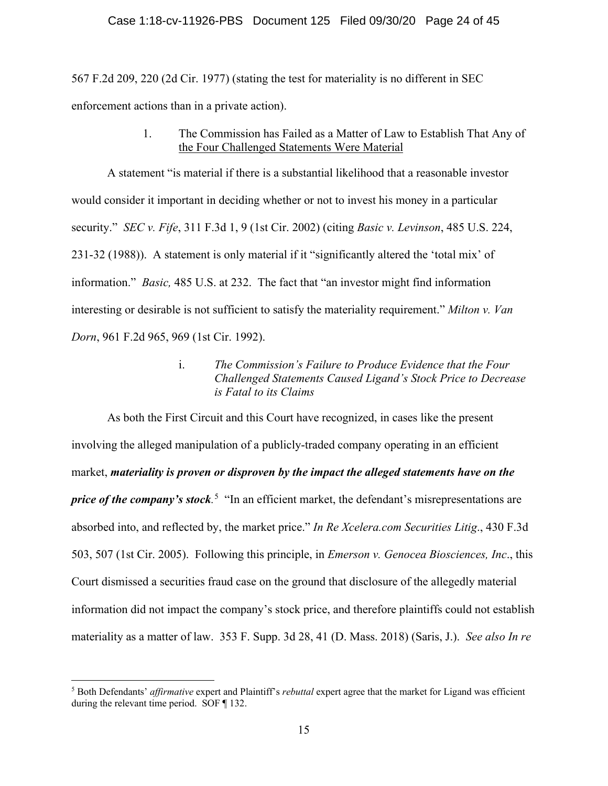567 F.2d 209, 220 (2d Cir. 1977) (stating the test for materiality is no different in SEC enforcement actions than in a private action).

> 1. The Commission has Failed as a Matter of Law to Establish That Any of the Four Challenged Statements Were Material

A statement "is material if there is a substantial likelihood that a reasonable investor would consider it important in deciding whether or not to invest his money in a particular security." *SEC v. Fife*, 311 F.3d 1, 9 (1st Cir. 2002) (citing *Basic v. Levinson*, 485 U.S. 224, 231-32 (1988)). A statement is only material if it "significantly altered the 'total mix' of information." *Basic,* 485 U.S. at 232. The fact that "an investor might find information interesting or desirable is not sufficient to satisfy the materiality requirement." *Milton v. Van Dorn*, 961 F.2d 965, 969 (1st Cir. 1992).

> i. *The Commission's Failure to Produce Evidence that the Four Challenged Statements Caused Ligand's Stock Price to Decrease is Fatal to its Claims*

As both the First Circuit and this Court have recognized, in cases like the present involving the alleged manipulation of a publicly-traded company operating in an efficient market, *materiality is proven or disproven by the impact the alleged statements have on the price of the company's stock*<sup>[5](#page-23-0)</sup> "In an efficient market, the defendant's misrepresentations are absorbed into, and reflected by, the market price." *In Re Xcelera.com Securities Litig*., 430 F.3d 503, 507 (1st Cir. 2005). Following this principle, in *Emerson v. Genocea Biosciences, Inc*., this Court dismissed a securities fraud case on the ground that disclosure of the allegedly material information did not impact the company's stock price, and therefore plaintiffs could not establish materiality as a matter of law. 353 F. Supp. 3d 28, 41 (D. Mass. 2018) (Saris, J.). *See also In re* 

<span id="page-23-0"></span><sup>5</sup> Both Defendants' *affirmative* expert and Plaintiff's *rebuttal* expert agree that the market for Ligand was efficient during the relevant time period. SOF ¶ 132.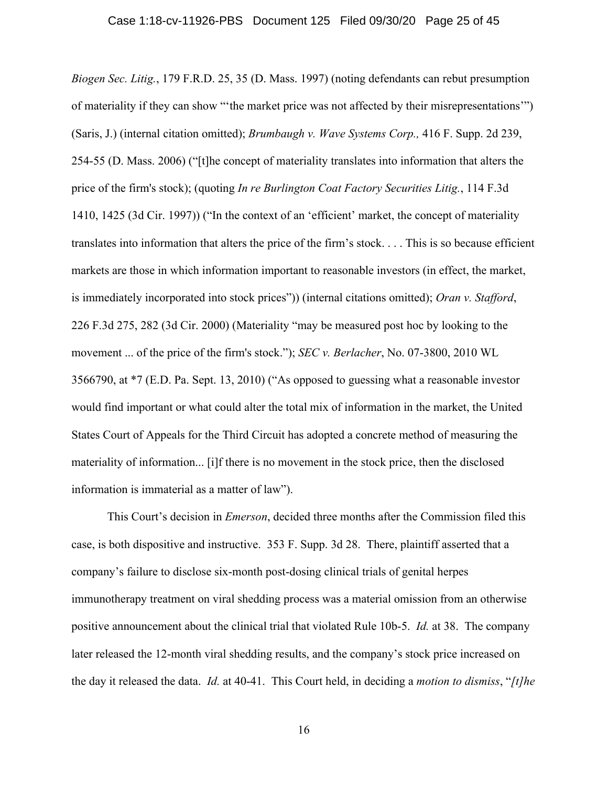*Biogen Sec. Litig.*, 179 F.R.D. 25, 35 (D. Mass. 1997) (noting defendants can rebut presumption of materiality if they can show "'the market price was not affected by their misrepresentations'") (Saris, J.) (internal citation omitted); *Brumbaugh v. Wave Systems Corp.,* 416 F. Supp. 2d 239, 254-55 (D. Mass. 2006) ("[t]he concept of materiality translates into information that alters the price of the firm's stock); (quoting *In re Burlington Coat Factory Securities Litig.*, 114 F.3d 1410, 1425 (3d Cir. 1997)) ("In the context of an 'efficient' market, the concept of materiality translates into information that alters the price of the firm's stock. . . . This is so because efficient markets are those in which information important to reasonable investors (in effect, the market, is immediately incorporated into stock prices")) (internal citations omitted); *Oran v. Stafford*, 226 F.3d 275, 282 (3d Cir. 2000) (Materiality "may be measured post hoc by looking to the movement ... of the price of the firm's stock."); *SEC v. Berlacher*, No. 07-3800, 2010 WL 3566790, at \*7 (E.D. Pa. Sept. 13, 2010) ("As opposed to guessing what a reasonable investor would find important or what could alter the total mix of information in the market, the United States Court of Appeals for the Third Circuit has adopted a concrete method of measuring the materiality of information... [i]f there is no movement in the stock price, then the disclosed information is immaterial as a matter of law").

This Court's decision in *Emerson*, decided three months after the Commission filed this case, is both dispositive and instructive. 353 F. Supp. 3d 28. There, plaintiff asserted that a company's failure to disclose six-month post-dosing clinical trials of genital herpes immunotherapy treatment on viral shedding process was a material omission from an otherwise positive announcement about the clinical trial that violated Rule 10b-5. *Id.* at 38. The company later released the 12-month viral shedding results, and the company's stock price increased on the day it released the data. *Id.* at 40-41. This Court held, in deciding a *motion to dismiss*, "*[t]he*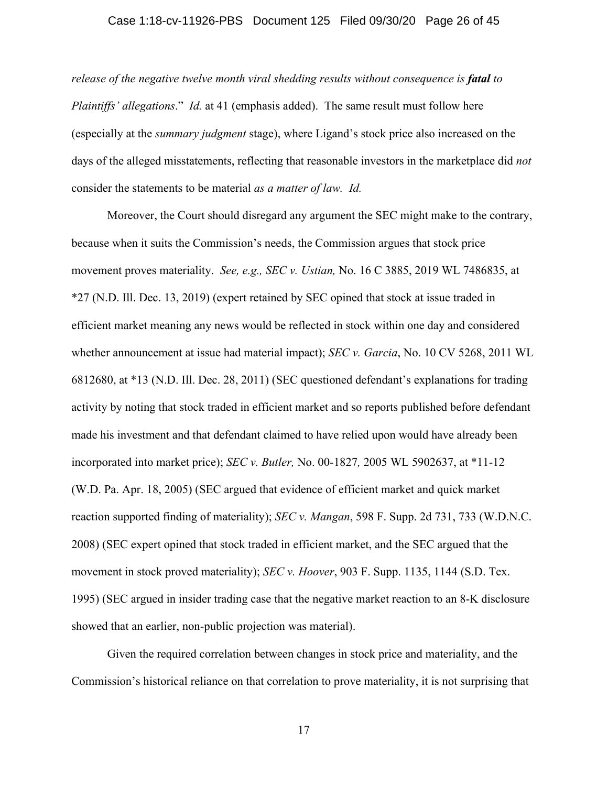#### Case 1:18-cv-11926-PBS Document 125 Filed 09/30/20 Page 26 of 45

*release of the negative twelve month viral shedding results without consequence is <i>fatal to Plaintiffs' allegations*." *Id.* at 41 (emphasis added). The same result must follow here (especially at the *summary judgment* stage), where Ligand's stock price also increased on the days of the alleged misstatements, reflecting that reasonable investors in the marketplace did *not* consider the statements to be material *as a matter of law. Id.*

Moreover, the Court should disregard any argument the SEC might make to the contrary, because when it suits the Commission's needs, the Commission argues that stock price movement proves materiality. *See, e.g., SEC v. Ustian,* No. 16 C 3885, 2019 WL 7486835, at \*27 (N.D. Ill. Dec. 13, 2019) (expert retained by SEC opined that stock at issue traded in efficient market meaning any news would be reflected in stock within one day and considered whether announcement at issue had material impact); *SEC v. Garcia*, No. 10 CV 5268, 2011 WL 6812680, at \*13 (N.D. Ill. Dec. 28, 2011) (SEC questioned defendant's explanations for trading activity by noting that stock traded in efficient market and so reports published before defendant made his investment and that defendant claimed to have relied upon would have already been incorporated into market price); *SEC v. Butler,* No. 00-1827*,* 2005 WL 5902637, at \*11-12 (W.D. Pa. Apr. 18, 2005) (SEC argued that evidence of efficient market and quick market reaction supported finding of materiality); *SEC v. Mangan*, 598 F. Supp. 2d 731, 733 (W.D.N.C. 2008) (SEC expert opined that stock traded in efficient market, and the SEC argued that the movement in stock proved materiality); *SEC v. Hoover*, 903 F. Supp. 1135, 1144 (S.D. Tex. 1995) (SEC argued in insider trading case that the negative market reaction to an 8-K disclosure showed that an earlier, non-public projection was material).

Given the required correlation between changes in stock price and materiality, and the Commission's historical reliance on that correlation to prove materiality, it is not surprising that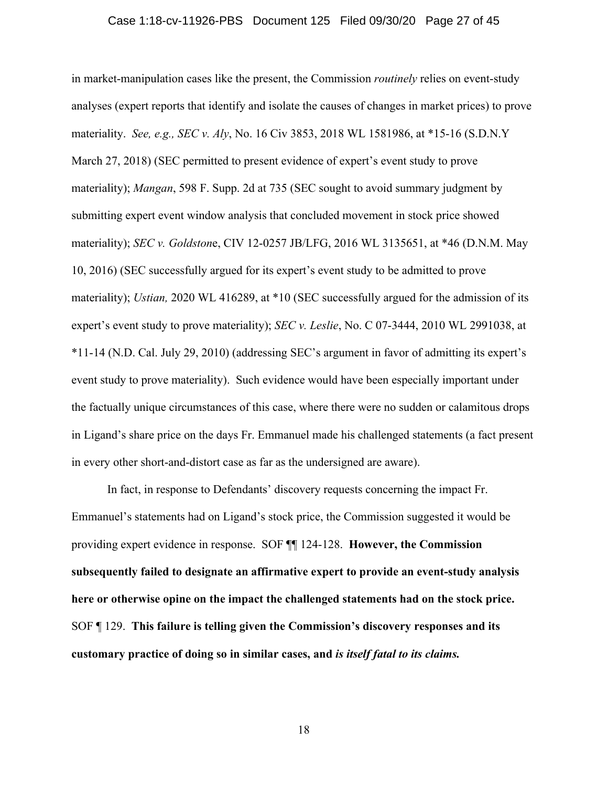# Case 1:18-cv-11926-PBS Document 125 Filed 09/30/20 Page 27 of 45

in market-manipulation cases like the present, the Commission *routinely* relies on event-study analyses (expert reports that identify and isolate the causes of changes in market prices) to prove materiality. *See, e.g., SEC v. Aly*, No. 16 Civ 3853, 2018 WL 1581986, at \*15-16 (S.D.N.Y March 27, 2018) (SEC permitted to present evidence of expert's event study to prove materiality); *Mangan*, 598 F. Supp. 2d at 735 (SEC sought to avoid summary judgment by submitting expert event window analysis that concluded movement in stock price showed materiality); *SEC v. Goldston*e, CIV 12-0257 JB/LFG, 2016 WL 3135651, at \*46 (D.N.M. May 10, 2016) (SEC successfully argued for its expert's event study to be admitted to prove materiality); *Ustian*, 2020 WL 416289, at \*10 (SEC successfully argued for the admission of its expert's event study to prove materiality); *SEC v. Leslie*, No. C 07-3444, 2010 WL 2991038, at \*11-14 (N.D. Cal. July 29, 2010) (addressing SEC's argument in favor of admitting its expert's event study to prove materiality). Such evidence would have been especially important under the factually unique circumstances of this case, where there were no sudden or calamitous drops in Ligand's share price on the days Fr. Emmanuel made his challenged statements (a fact present in every other short-and-distort case as far as the undersigned are aware).

In fact, in response to Defendants' discovery requests concerning the impact Fr. Emmanuel's statements had on Ligand's stock price, the Commission suggested it would be providing expert evidence in response. SOF ¶¶ 124-128. **However, the Commission subsequently failed to designate an affirmative expert to provide an event-study analysis here or otherwise opine on the impact the challenged statements had on the stock price.** SOF ¶ 129. **This failure is telling given the Commission's discovery responses and its customary practice of doing so in similar cases, and** *is itself fatal to its claims.*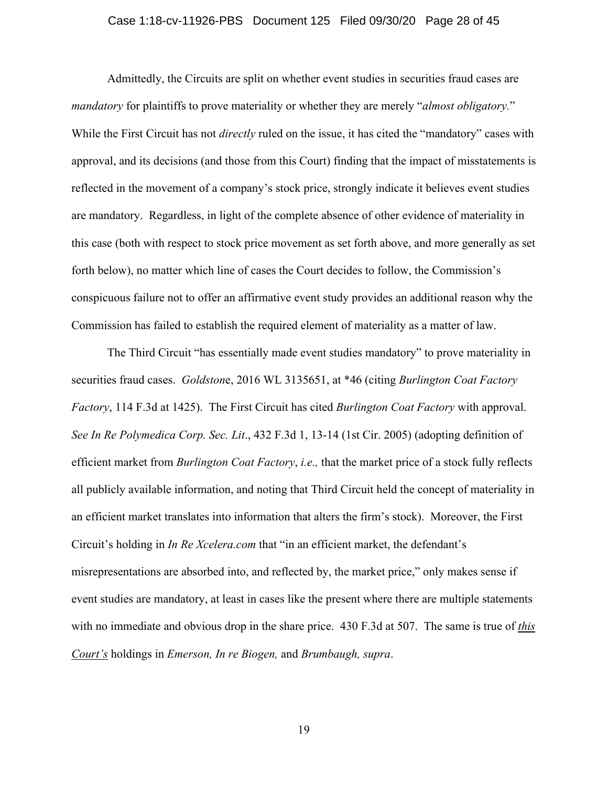#### Case 1:18-cv-11926-PBS Document 125 Filed 09/30/20 Page 28 of 45

Admittedly, the Circuits are split on whether event studies in securities fraud cases are *mandatory* for plaintiffs to prove materiality or whether they are merely "*almost obligatory.*" While the First Circuit has not *directly* ruled on the issue, it has cited the "mandatory" cases with approval, and its decisions (and those from this Court) finding that the impact of misstatements is reflected in the movement of a company's stock price, strongly indicate it believes event studies are mandatory. Regardless, in light of the complete absence of other evidence of materiality in this case (both with respect to stock price movement as set forth above, and more generally as set forth below), no matter which line of cases the Court decides to follow, the Commission's conspicuous failure not to offer an affirmative event study provides an additional reason why the Commission has failed to establish the required element of materiality as a matter of law.

The Third Circuit "has essentially made event studies mandatory" to prove materiality in securities fraud cases. *Goldston*e, 2016 WL 3135651, at \*46 (citing *Burlington Coat Factory Factory*, 114 F.3d at 1425). The First Circuit has cited *Burlington Coat Factory* with approval. *See In Re Polymedica Corp. Sec. Lit*., 432 F.3d 1, 13-14 (1st Cir. 2005) (adopting definition of efficient market from *Burlington Coat Factory*, *i.e.,* that the market price of a stock fully reflects all publicly available information, and noting that Third Circuit held the concept of materiality in an efficient market translates into information that alters the firm's stock). Moreover, the First Circuit's holding in *In Re Xcelera.com* that "in an efficient market, the defendant's misrepresentations are absorbed into, and reflected by, the market price," only makes sense if event studies are mandatory, at least in cases like the present where there are multiple statements with no immediate and obvious drop in the share price. 430 F.3d at 507. The same is true of *this Court's* holdings in *Emerson, In re Biogen,* and *Brumbaugh, supra*.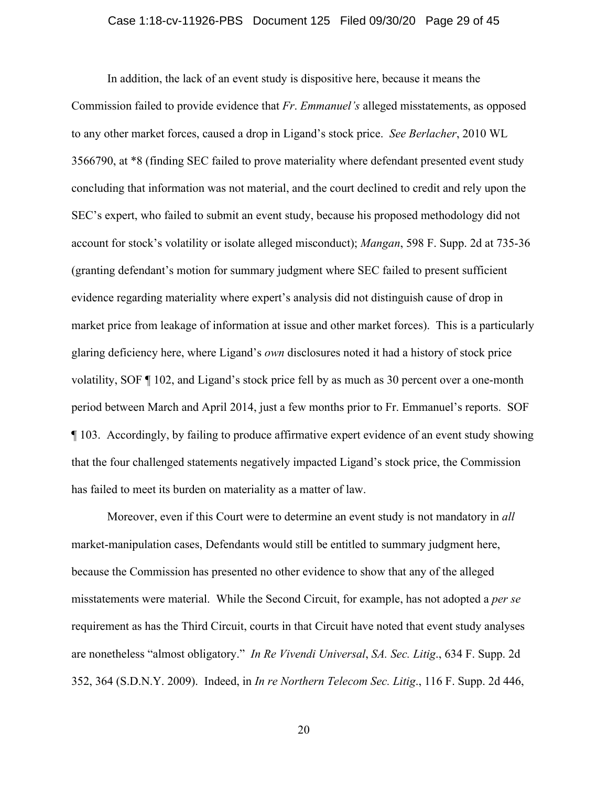#### Case 1:18-cv-11926-PBS Document 125 Filed 09/30/20 Page 29 of 45

In addition, the lack of an event study is dispositive here, because it means the Commission failed to provide evidence that *Fr*. *Emmanuel's* alleged misstatements, as opposed to any other market forces, caused a drop in Ligand's stock price. *See Berlacher*, 2010 WL 3566790, at \*8 (finding SEC failed to prove materiality where defendant presented event study concluding that information was not material, and the court declined to credit and rely upon the SEC's expert, who failed to submit an event study, because his proposed methodology did not account for stock's volatility or isolate alleged misconduct); *Mangan*, 598 F. Supp. 2d at 735-36 (granting defendant's motion for summary judgment where SEC failed to present sufficient evidence regarding materiality where expert's analysis did not distinguish cause of drop in market price from leakage of information at issue and other market forces). This is a particularly glaring deficiency here, where Ligand's *own* disclosures noted it had a history of stock price volatility, SOF ¶ 102, and Ligand's stock price fell by as much as 30 percent over a one-month period between March and April 2014, just a few months prior to Fr. Emmanuel's reports. SOF ¶ 103. Accordingly, by failing to produce affirmative expert evidence of an event study showing that the four challenged statements negatively impacted Ligand's stock price, the Commission has failed to meet its burden on materiality as a matter of law.

Moreover, even if this Court were to determine an event study is not mandatory in *all* market-manipulation cases, Defendants would still be entitled to summary judgment here, because the Commission has presented no other evidence to show that any of the alleged misstatements were material. While the Second Circuit, for example, has not adopted a *per se* requirement as has the Third Circuit, courts in that Circuit have noted that event study analyses are nonetheless "almost obligatory." *In Re Vivendi Universal*, *SA. Sec. Litig*., 634 F. Supp. 2d 352, 364 (S.D.N.Y. 2009). Indeed, in *In re Northern Telecom Sec. Litig*., 116 F. Supp. 2d 446,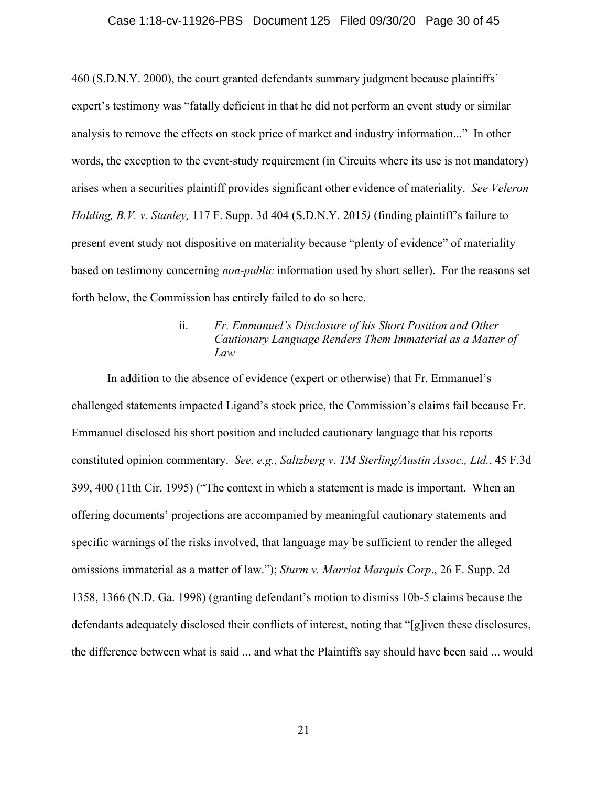# Case 1:18-cv-11926-PBS Document 125 Filed 09/30/20 Page 30 of 45

460 (S.D.N.Y. 2000), the court granted defendants summary judgment because plaintiffs' expert's testimony was "fatally deficient in that he did not perform an event study or similar analysis to remove the effects on stock price of market and industry information..." In other words, the exception to the event-study requirement (in Circuits where its use is not mandatory) arises when a securities plaintiff provides significant other evidence of materiality. *See Veleron Holding, B.V. v. Stanley,* 117 F. Supp. 3d 404 (S.D.N.Y. 2015*)* (finding plaintiff's failure to present event study not dispositive on materiality because "plenty of evidence" of materiality based on testimony concerning *non-public* information used by short seller). For the reasons set forth below, the Commission has entirely failed to do so here.

## ii. *Fr. Emmanuel's Disclosure of his Short Position and Other Cautionary Language Renders Them Immaterial as a Matter of Law*

In addition to the absence of evidence (expert or otherwise) that Fr. Emmanuel's challenged statements impacted Ligand's stock price, the Commission's claims fail because Fr. Emmanuel disclosed his short position and included cautionary language that his reports constituted opinion commentary. *See, e.g., Saltzberg v. TM Sterling/Austin Assoc., Ltd.*, 45 F.3d 399, 400 (11th Cir. 1995) ("The context in which a statement is made is important. When an offering documents' projections are accompanied by meaningful cautionary statements and specific warnings of the risks involved, that language may be sufficient to render the alleged omissions immaterial as a matter of law."); *Sturm v. Marriot Marquis Corp*., 26 F. Supp. 2d 1358, 1366 (N.D. Ga. 1998) (granting defendant's motion to dismiss 10b-5 claims because the defendants adequately disclosed their conflicts of interest, noting that "[g]iven these disclosures, the difference between what is said ... and what the Plaintiffs say should have been said ... would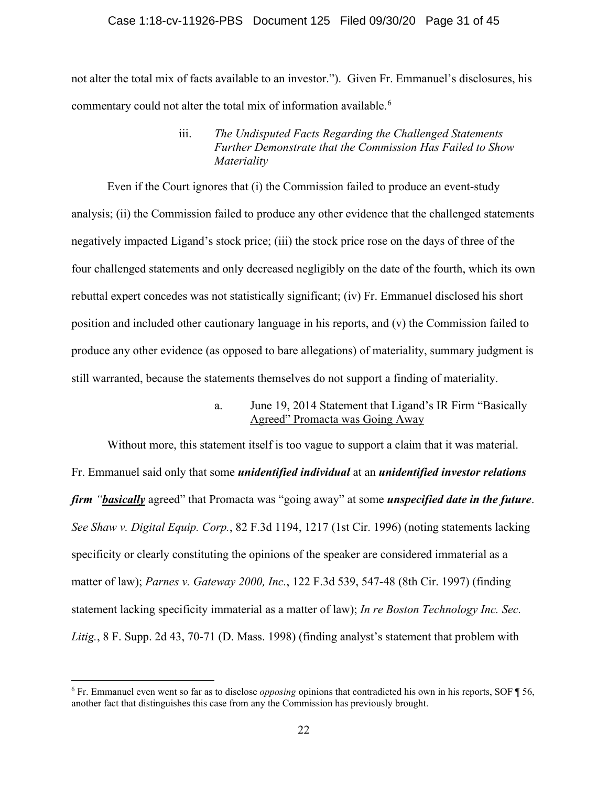#### Case 1:18-cv-11926-PBS Document 125 Filed 09/30/20 Page 31 of 45

not alter the total mix of facts available to an investor."). Given Fr. Emmanuel's disclosures, his commentary could not alter the total mix of information available.<sup>[6](#page-30-0)</sup>

Even if the Court ignores that (i) the Commission failed to produce an event-study analysis; (ii) the Commission failed to produce any other evidence that the challenged statements negatively impacted Ligand's stock price; (iii) the stock price rose on the days of three of the four challenged statements and only decreased negligibly on the date of the fourth, which its own rebuttal expert concedes was not statistically significant; (iv) Fr. Emmanuel disclosed his short position and included other cautionary language in his reports, and (v) the Commission failed to produce any other evidence (as opposed to bare allegations) of materiality, summary judgment is still warranted, because the statements themselves do not support a finding of materiality.

> a. June 19, 2014 Statement that Ligand's IR Firm "Basically Agreed" Promacta was Going Away

Without more, this statement itself is too vague to support a claim that it was material. Fr. Emmanuel said only that some *unidentified individual* at an *unidentified investor relations firm "basically* agreed" that Promacta was "going away" at some *unspecified date in the future*. *See Shaw v. Digital Equip. Corp.*, 82 F.3d 1194, 1217 (1st Cir. 1996) (noting statements lacking specificity or clearly constituting the opinions of the speaker are considered immaterial as a matter of law); *Parnes v. Gateway 2000, Inc.*, 122 F.3d 539, 547-48 (8th Cir. 1997) (finding statement lacking specificity immaterial as a matter of law); *In re Boston Technology Inc. Sec. Litig.*, 8 F. Supp. 2d 43, 70-71 (D. Mass. 1998) (finding analyst's statement that problem with

iii. *The Undisputed Facts Regarding the Challenged Statements Further Demonstrate that the Commission Has Failed to Show Materiality*

<span id="page-30-0"></span><sup>6</sup> Fr. Emmanuel even went so far as to disclose *opposing* opinions that contradicted his own in his reports, SOF ¶ 56, another fact that distinguishes this case from any the Commission has previously brought.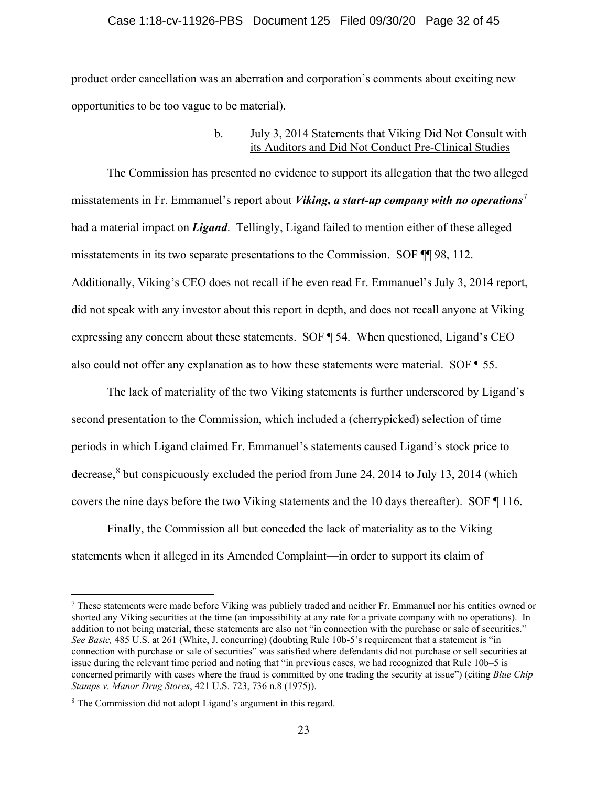#### Case 1:18-cv-11926-PBS Document 125 Filed 09/30/20 Page 32 of 45

product order cancellation was an aberration and corporation's comments about exciting new opportunities to be too vague to be material).

#### b. July 3, 2014 Statements that Viking Did Not Consult with its Auditors and Did Not Conduct Pre-Clinical Studies

The Commission has presented no evidence to support its allegation that the two alleged misstatements in Fr. Emmanuel's report about *Viking, a start-up company with no operations*[7](#page-31-0) had a material impact on *Ligand*. Tellingly, Ligand failed to mention either of these alleged misstatements in its two separate presentations to the Commission. SOF ¶¶ 98, 112. Additionally, Viking's CEO does not recall if he even read Fr. Emmanuel's July 3, 2014 report, did not speak with any investor about this report in depth, and does not recall anyone at Viking expressing any concern about these statements. SOF ¶ 54. When questioned, Ligand's CEO also could not offer any explanation as to how these statements were material. SOF ¶ 55.

The lack of materiality of the two Viking statements is further underscored by Ligand's second presentation to the Commission, which included a (cherrypicked) selection of time periods in which Ligand claimed Fr. Emmanuel's statements caused Ligand's stock price to decrease, $8$  but conspicuously excluded the period from June 24, 2014 to July 13, 2014 (which covers the nine days before the two Viking statements and the 10 days thereafter). SOF ¶ 116.

Finally, the Commission all but conceded the lack of materiality as to the Viking statements when it alleged in its Amended Complaint—in order to support its claim of

<span id="page-31-0"></span><sup>7</sup> These statements were made before Viking was publicly traded and neither Fr. Emmanuel nor his entities owned or shorted any Viking securities at the time (an impossibility at any rate for a private company with no operations). In addition to not being material, these statements are also not "in connection with the purchase or sale of securities." *See Basic,* 485 U.S. at 261 (White, J. concurring) (doubting Rule 10b-5's requirement that a statement is "in connection with purchase or sale of securities" was satisfied where defendants did not purchase or sell securities at issue during the relevant time period and noting that "in previous cases, we had recognized that Rule 10b–5 is concerned primarily with cases where the fraud is committed by one trading the security at issue") (citing *Blue Chip Stamps v. Manor Drug Stores*, 421 U.S. 723, 736 n.8 (1975)).

<span id="page-31-1"></span><sup>8</sup> The Commission did not adopt Ligand's argument in this regard.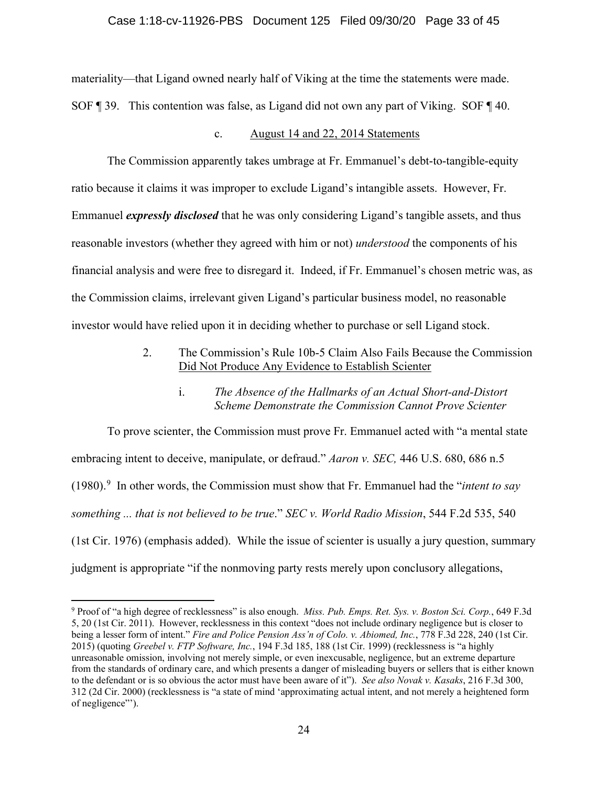materiality—that Ligand owned nearly half of Viking at the time the statements were made. SOF ¶ 39. This contention was false, as Ligand did not own any part of Viking. SOF ¶ 40.

#### c. August 14 and 22, 2014 Statements

The Commission apparently takes umbrage at Fr. Emmanuel's debt-to-tangible-equity ratio because it claims it was improper to exclude Ligand's intangible assets. However, Fr. Emmanuel *expressly disclosed* that he was only considering Ligand's tangible assets, and thus reasonable investors (whether they agreed with him or not) *understood* the components of his financial analysis and were free to disregard it. Indeed, if Fr. Emmanuel's chosen metric was, as the Commission claims, irrelevant given Ligand's particular business model, no reasonable investor would have relied upon it in deciding whether to purchase or sell Ligand stock.

> 2. The Commission's Rule 10b-5 Claim Also Fails Because the Commission Did Not Produce Any Evidence to Establish Scienter

### i. *The Absence of the Hallmarks of an Actual Short-and-Distort Scheme Demonstrate the Commission Cannot Prove Scienter*

To prove scienter, the Commission must prove Fr. Emmanuel acted with "a mental state embracing intent to deceive, manipulate, or defraud." *Aaron v. SEC,* 446 U.S. 680, 686 n.5 (1980). [9](#page-32-0) In other words, the Commission must show that Fr. Emmanuel had the "*intent to say something ... that is not believed to be true*." *SEC v. World Radio Mission*, 544 F.2d 535, 540 (1st Cir. 1976) (emphasis added). While the issue of scienter is usually a jury question, summary judgment is appropriate "if the nonmoving party rests merely upon conclusory allegations,

<span id="page-32-0"></span><sup>9</sup> Proof of "a high degree of recklessness" is also enough. *Miss. Pub. Emps. Ret. Sys. v. Boston Sci. Corp.*, 649 F.3d 5, 20 (1st Cir. 2011). However, recklessness in this context "does not include ordinary negligence but is closer to being a lesser form of intent." *Fire and Police Pension Ass'n of Colo. v. Abiomed, Inc.*, 778 F.3d 228, 240 (1st Cir. 2015) (quoting *Greebel v. FTP Software, Inc.*, 194 F.3d 185, 188 (1st Cir. 1999) (recklessness is "a highly unreasonable omission, involving not merely simple, or even inexcusable, negligence, but an extreme departure from the standards of ordinary care, and which presents a danger of misleading buyers or sellers that is either known to the defendant or is so obvious the actor must have been aware of it"). *See also Novak v. Kasaks*, 216 F.3d 300, 312 (2d Cir. 2000) (recklessness is "a state of mind 'approximating actual intent, and not merely a heightened form of negligence"').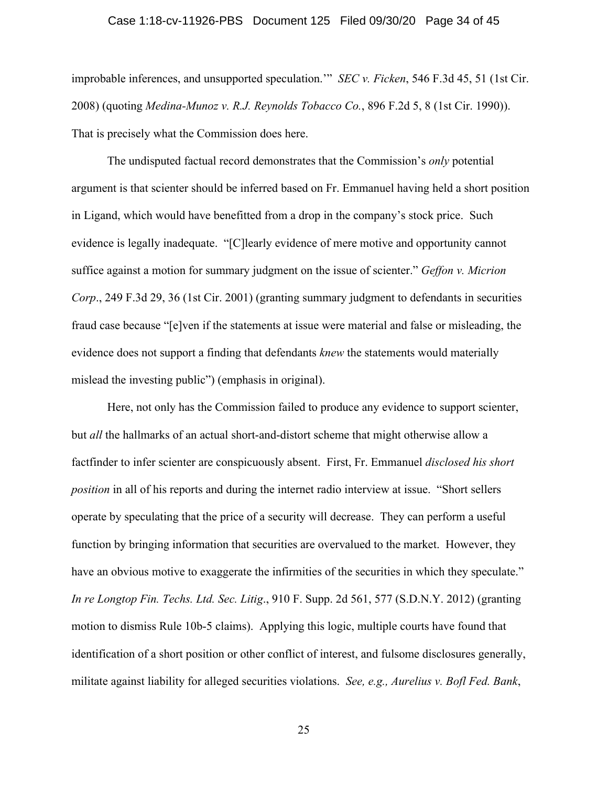#### Case 1:18-cv-11926-PBS Document 125 Filed 09/30/20 Page 34 of 45

improbable inferences, and unsupported speculation.'" *SEC v. Ficken*, 546 F.3d 45, 51 (1st Cir. 2008) (quoting *Medina-Munoz v. R.J. Reynolds Tobacco Co.*, 896 F.2d 5, 8 (1st Cir. 1990)). That is precisely what the Commission does here.

The undisputed factual record demonstrates that the Commission's *only* potential argument is that scienter should be inferred based on Fr. Emmanuel having held a short position in Ligand, which would have benefitted from a drop in the company's stock price. Such evidence is legally inadequate. "[C]learly evidence of mere motive and opportunity cannot suffice against a motion for summary judgment on the issue of scienter." *Geffon v. Micrion Corp*., 249 F.3d 29, 36 (1st Cir. 2001) (granting summary judgment to defendants in securities fraud case because "[e]ven if the statements at issue were material and false or misleading, the evidence does not support a finding that defendants *knew* the statements would materially mislead the investing public") (emphasis in original).

Here, not only has the Commission failed to produce any evidence to support scienter, but *all* the hallmarks of an actual short-and-distort scheme that might otherwise allow a factfinder to infer scienter are conspicuously absent. First, Fr. Emmanuel *disclosed his short position* in all of his reports and during the internet radio interview at issue. "Short sellers operate by speculating that the price of a security will decrease. They can perform a useful function by bringing information that securities are overvalued to the market. However, they have an obvious motive to exaggerate the infirmities of the securities in which they speculate." *In re Longtop Fin. Techs. Ltd. Sec. Litig*., 910 F. Supp. 2d 561, 577 (S.D.N.Y. 2012) (granting motion to dismiss Rule 10b-5 claims). Applying this logic, multiple courts have found that identification of a short position or other conflict of interest, and fulsome disclosures generally, militate against liability for alleged securities violations. *See, e.g., Aurelius v. Bofl Fed. Bank*,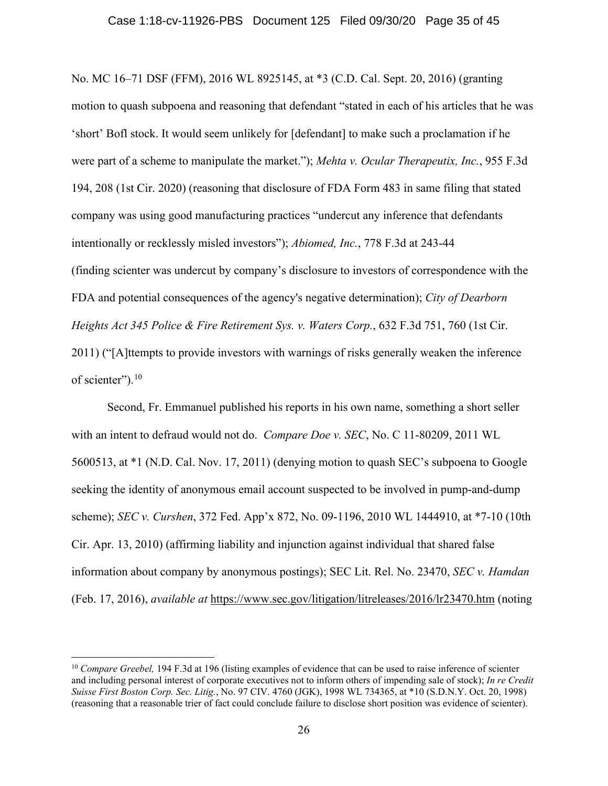No. MC 16–71 DSF (FFM), 2016 WL 8925145, at \*3 (C.D. Cal. Sept. 20, 2016) (granting motion to quash subpoena and reasoning that defendant "stated in each of his articles that he was 'short' Bofl stock. It would seem unlikely for [defendant] to make such a proclamation if he were part of a scheme to manipulate the market."); *Mehta v. Ocular Therapeutix, Inc.*, 955 F.3d 194, 208 (1st Cir. 2020) (reasoning that disclosure of FDA Form 483 in same filing that stated company was using good manufacturing practices "undercut any inference that defendants intentionally or recklessly misled investors"); *Abiomed, Inc.*, 778 F.3d at 243-44 (finding scienter was undercut by company's disclosure to investors of correspondence with the FDA and potential consequences of the agency's negative determination); *City of Dearborn Heights Act 345 Police & Fire Retirement Sys. v. Waters Corp.*, 632 F.3d 751, 760 (1st Cir. 2011) ("[A]ttempts to provide investors with warnings of risks generally weaken the inference of scienter").<sup>[10](#page-34-0)</sup>

Second, Fr. Emmanuel published his reports in his own name, something a short seller with an intent to defraud would not do. *Compare Doe v. SEC*, No. C 11-80209, 2011 WL 5600513, at \*1 (N.D. Cal. Nov. 17, 2011) (denying motion to quash SEC's subpoena to Google seeking the identity of anonymous email account suspected to be involved in pump-and-dump scheme); *SEC v. Curshen*, 372 Fed. App'x 872, No. 09-1196, 2010 WL 1444910, at \*7-10 (10th Cir. Apr. 13, 2010) (affirming liability and injunction against individual that shared false information about company by anonymous postings); SEC Lit. Rel. No. 23470, *SEC v. Hamdan* (Feb. 17, 2016), *available at* <https://www.sec.gov/litigation/litreleases/2016/lr23470.htm> (noting

<span id="page-34-0"></span><sup>&</sup>lt;sup>10</sup> *Compare Greebel,* 194 F.3d at 196 (listing examples of evidence that can be used to raise inference of scienter and including personal interest of corporate executives not to inform others of impending sale of stock); *In re Credit Suisse First Boston Corp. Sec. Litig.*, No. 97 CIV. 4760 (JGK), 1998 WL 734365, at \*10 (S.D.N.Y. Oct. 20, 1998) (reasoning that a reasonable trier of fact could conclude failure to disclose short position was evidence of scienter).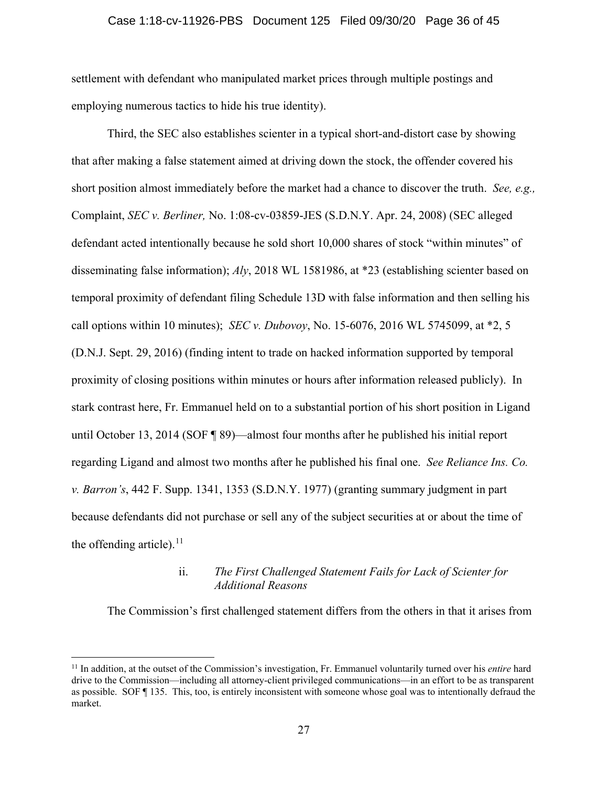#### Case 1:18-cv-11926-PBS Document 125 Filed 09/30/20 Page 36 of 45

settlement with defendant who manipulated market prices through multiple postings and employing numerous tactics to hide his true identity).

Third, the SEC also establishes scienter in a typical short-and-distort case by showing that after making a false statement aimed at driving down the stock, the offender covered his short position almost immediately before the market had a chance to discover the truth. *See, e.g.,* Complaint, *SEC v. Berliner,* No. 1:08-cv-03859-JES (S.D.N.Y. Apr. 24, 2008) (SEC alleged defendant acted intentionally because he sold short 10,000 shares of stock "within minutes" of disseminating false information); *Aly*, 2018 WL 1581986, at \*23 (establishing scienter based on temporal proximity of defendant filing Schedule 13D with false information and then selling his call options within 10 minutes); *SEC v. Dubovoy*, No. 15-6076, 2016 WL 5745099, at \*2, 5 (D.N.J. Sept. 29, 2016) (finding intent to trade on hacked information supported by temporal proximity of closing positions within minutes or hours after information released publicly).In stark contrast here, Fr. Emmanuel held on to a substantial portion of his short position in Ligand until October 13, 2014 (SOF ¶ 89)—almost four months after he published his initial report regarding Ligand and almost two months after he published his final one. *See Reliance Ins. Co. v. Barron's*, 442 F. Supp. 1341, 1353 (S.D.N.Y. 1977) (granting summary judgment in part because defendants did not purchase or sell any of the subject securities at or about the time of the offending article). $^{11}$  $^{11}$  $^{11}$ 

## ii. *The First Challenged Statement Fails for Lack of Scienter for Additional Reasons*

The Commission's first challenged statement differs from the others in that it arises from

<span id="page-35-0"></span><sup>11</sup> In addition, at the outset of the Commission's investigation, Fr. Emmanuel voluntarily turned over his *entire* hard drive to the Commission—including all attorney-client privileged communications—in an effort to be as transparent as possible. SOF ¶ 135. This, too, is entirely inconsistent with someone whose goal was to intentionally defraud the market.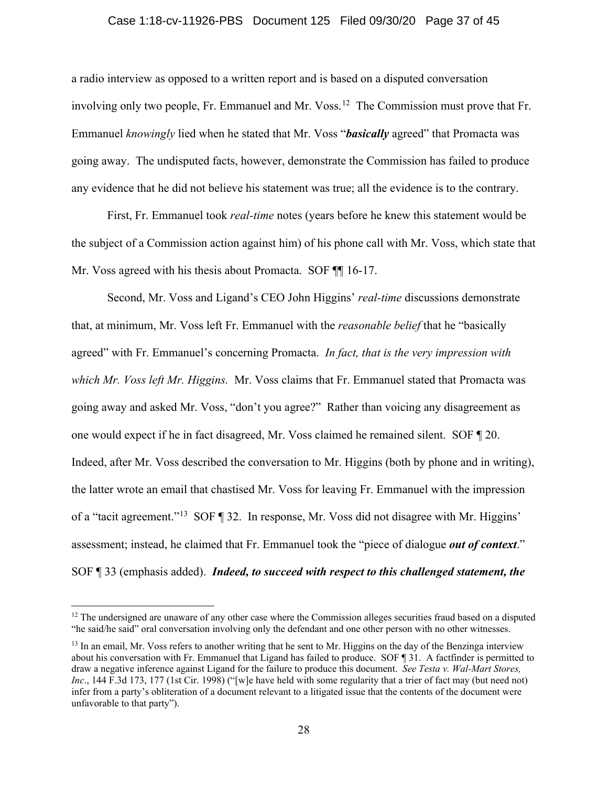#### Case 1:18-cv-11926-PBS Document 125 Filed 09/30/20 Page 37 of 45

a radio interview as opposed to a written report and is based on a disputed conversation involving only two people, Fr. Emmanuel and Mr. Voss.<sup>12</sup> The Commission must prove that Fr. Emmanuel *knowingly* lied when he stated that Mr. Voss "*basically* agreed" that Promacta was going away. The undisputed facts, however, demonstrate the Commission has failed to produce any evidence that he did not believe his statement was true; all the evidence is to the contrary.

First, Fr. Emmanuel took *real-time* notes (years before he knew this statement would be the subject of a Commission action against him) of his phone call with Mr. Voss, which state that Mr. Voss agreed with his thesis about Promacta. SOF  $\P$  16-17.

Second, Mr. Voss and Ligand's CEO John Higgins' *real-time* discussions demonstrate that, at minimum, Mr. Voss left Fr. Emmanuel with the *reasonable belief* that he "basically agreed" with Fr. Emmanuel's concerning Promacta. *In fact, that is the very impression with which Mr. Voss left Mr. Higgins.* Mr. Voss claims that Fr. Emmanuel stated that Promacta was going away and asked Mr. Voss, "don't you agree?" Rather than voicing any disagreement as one would expect if he in fact disagreed, Mr. Voss claimed he remained silent. SOF ¶ 20. Indeed, after Mr. Voss described the conversation to Mr. Higgins (both by phone and in writing), the latter wrote an email that chastised Mr. Voss for leaving Fr. Emmanuel with the impression of a "tacit agreement."[13](#page-36-1) SOF ¶ 32. In response, Mr. Voss did not disagree with Mr. Higgins' assessment; instead, he claimed that Fr. Emmanuel took the "piece of dialogue *out of context*." SOF ¶ 33 (emphasis added). *Indeed, to succeed with respect to this challenged statement, the* 

<span id="page-36-0"></span> $12$  The undersigned are unaware of any other case where the Commission alleges securities fraud based on a disputed "he said/he said" oral conversation involving only the defendant and one other person with no other witnesses.

<span id="page-36-1"></span><sup>&</sup>lt;sup>13</sup> In an email, Mr. Voss refers to another writing that he sent to Mr. Higgins on the day of the Benzinga interview about his conversation with Fr. Emmanuel that Ligand has failed to produce. SOF ¶ 31. A factfinder is permitted to draw a negative inference against Ligand for the failure to produce this document. *See Testa v. Wal-Mart Stores, Inc*., 144 F.3d 173, 177 (1st Cir. 1998) ("[w]e have held with some regularity that a trier of fact may (but need not) infer from a party's obliteration of a document relevant to a litigated issue that the contents of the document were unfavorable to that party").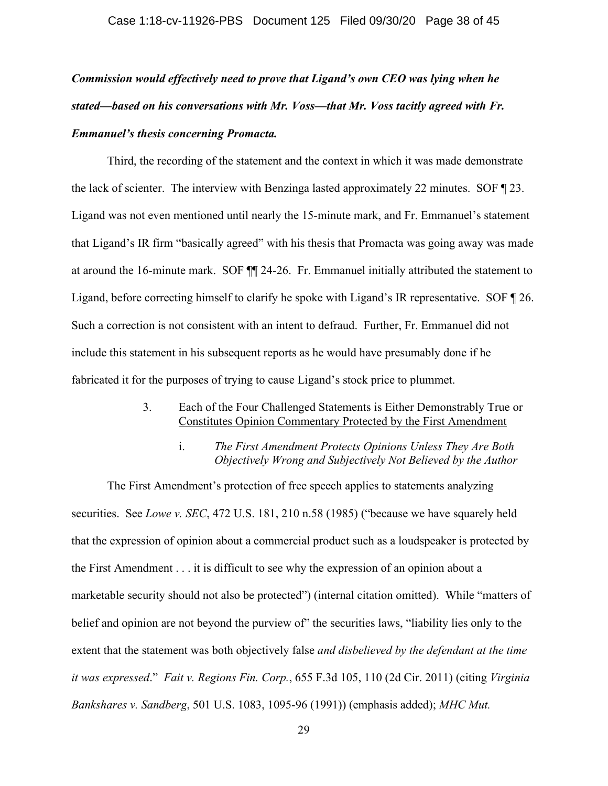*Commission would effectively need to prove that Ligand's own CEO was lying when he stated—based on his conversations with Mr. Voss—that Mr. Voss tacitly agreed with Fr. Emmanuel's thesis concerning Promacta.*

Third, the recording of the statement and the context in which it was made demonstrate the lack of scienter. The interview with Benzinga lasted approximately 22 minutes. SOF ¶ 23. Ligand was not even mentioned until nearly the 15-minute mark, and Fr. Emmanuel's statement that Ligand's IR firm "basically agreed" with his thesis that Promacta was going away was made at around the 16-minute mark. SOF ¶¶ 24-26. Fr. Emmanuel initially attributed the statement to Ligand, before correcting himself to clarify he spoke with Ligand's IR representative. SOF ¶ 26. Such a correction is not consistent with an intent to defraud. Further, Fr. Emmanuel did not include this statement in his subsequent reports as he would have presumably done if he fabricated it for the purposes of trying to cause Ligand's stock price to plummet.

- 3. Each of the Four Challenged Statements is Either Demonstrably True or Constitutes Opinion Commentary Protected by the First Amendment
	- i. *The First Amendment Protects Opinions Unless They Are Both Objectively Wrong and Subjectively Not Believed by the Author*

The First Amendment's protection of free speech applies to statements analyzing securities. See *Lowe v. SEC*, 472 U.S. 181, 210 n.58 (1985) ("because we have squarely held that the expression of opinion about a commercial product such as a loudspeaker is protected by the First Amendment . . . it is difficult to see why the expression of an opinion about a marketable security should not also be protected") (internal citation omitted). While "matters of belief and opinion are not beyond the purview of" the securities laws, "liability lies only to the extent that the statement was both objectively false *and disbelieved by the defendant at the time it was expressed*." *Fait v. Regions Fin. Corp.*, 655 F.3d 105, 110 (2d Cir. 2011) (citing *Virginia Bankshares v. Sandberg*, 501 U.S. 1083, 1095-96 (1991)) (emphasis added); *MHC Mut.*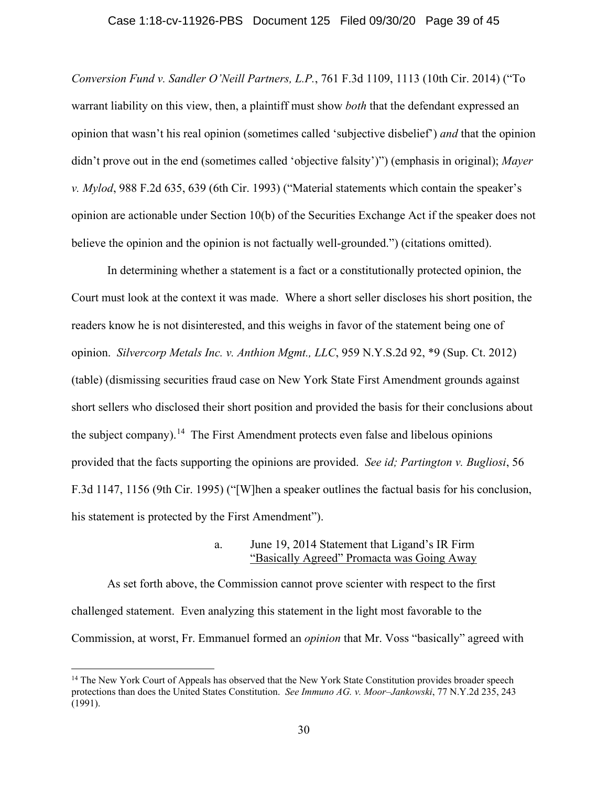# Case 1:18-cv-11926-PBS Document 125 Filed 09/30/20 Page 39 of 45

*Conversion Fund v. Sandler O'Neill Partners, L.P.*, 761 F.3d 1109, 1113 (10th Cir. 2014) ("To warrant liability on this view, then, a plaintiff must show *both* that the defendant expressed an opinion that wasn't his real opinion (sometimes called 'subjective disbelief') *and* that the opinion didn't prove out in the end (sometimes called 'objective falsity')") (emphasis in original); *Mayer v. Mylod*, 988 F.2d 635, 639 (6th Cir. 1993) ("Material statements which contain the speaker's opinion are actionable under Section 10(b) of the Securities Exchange Act if the speaker does not believe the opinion and the opinion is not factually well-grounded.") (citations omitted).

In determining whether a statement is a fact or a constitutionally protected opinion, the Court must look at the context it was made. Where a short seller discloses his short position, the readers know he is not disinterested, and this weighs in favor of the statement being one of opinion. *Silvercorp Metals Inc. v. Anthion Mgmt., LLC*, 959 N.Y.S.2d 92, \*9 (Sup. Ct. 2012) (table) (dismissing securities fraud case on New York State First Amendment grounds against short sellers who disclosed their short position and provided the basis for their conclusions about the subject company).[14](#page-38-0) The First Amendment protects even false and libelous opinions provided that the facts supporting the opinions are provided. *See id; Partington v. Bugliosi*, 56 F.3d 1147, 1156 (9th Cir. 1995) ("[W]hen a speaker outlines the factual basis for his conclusion, his statement is protected by the First Amendment").

### a. June 19, 2014 Statement that Ligand's IR Firm "Basically Agreed" Promacta was Going Away

As set forth above, the Commission cannot prove scienter with respect to the first challenged statement. Even analyzing this statement in the light most favorable to the Commission, at worst, Fr. Emmanuel formed an *opinion* that Mr. Voss "basically" agreed with

<span id="page-38-0"></span><sup>&</sup>lt;sup>14</sup> The New York Court of Appeals has observed that the New York State Constitution provides broader speech protections than does the United States Constitution. *See Immuno AG. v. Moor–Jankowski*, 77 N.Y.2d 235, 243 (1991).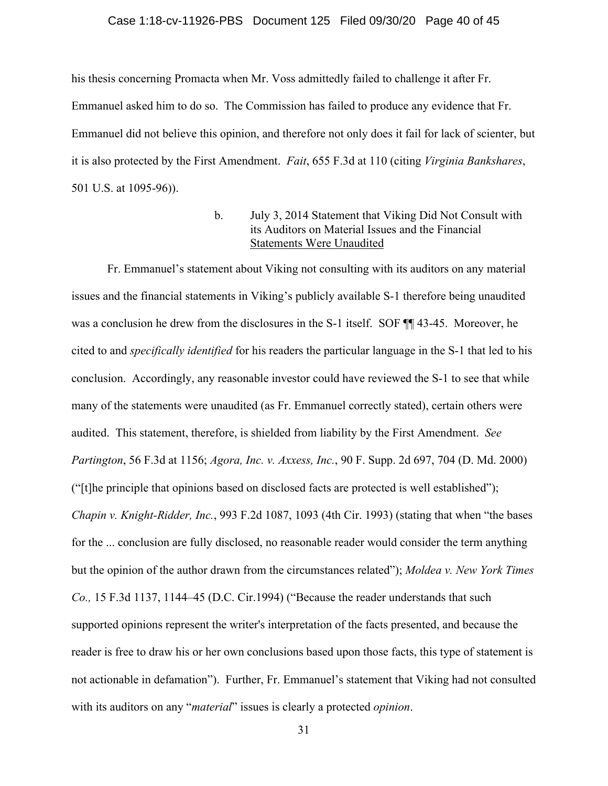# Case 1:18-cv-11926-PBS Document 125 Filed 09/30/20 Page 40 of 45

his thesis concerning Promacta when Mr. Voss admittedly failed to challenge it after Fr. Emmanuel asked him to do so. The Commission has failed to produce any evidence that Fr. Emmanuel did not believe this opinion, and therefore not only does it fail for lack of scienter, but it is also protected by the First Amendment. *Fait*, 655 F.3d at 110 (citing *Virginia Bankshares*, 501 U.S. at 1095-96)).

## b. July 3, 2014 Statement that Viking Did Not Consult with its Auditors on Material Issues and the Financial Statements Were Unaudited

Fr. Emmanuel's statement about Viking not consulting with its auditors on any material issues and the financial statements in Viking's publicly available S-1 therefore being unaudited was a conclusion he drew from the disclosures in the S-1 itself. SOF  $\P$  43-45. Moreover, he cited to and *specifically identified* for his readers the particular language in the S-1 that led to his conclusion. Accordingly, any reasonable investor could have reviewed the S-1 to see that while many of the statements were unaudited (as Fr. Emmanuel correctly stated), certain others were audited. This statement, therefore, is shielded from liability by the First Amendment. *See Partington*, 56 F.3d at 1156; *Agora, Inc. v. Axxess, Inc.*, 90 F. Supp. 2d 697, 704 (D. Md. 2000) ("[t]he principle that opinions based on disclosed facts are protected is well established"); *Chapin v. Knight-Ridder, Inc.*, 993 F.2d 1087, 1093 (4th Cir. 1993) (stating that when "the bases for the ... conclusion are fully disclosed, no reasonable reader would consider the term anything but the opinion of the author drawn from the circumstances related"); *Moldea v. New York Times Co.,* 15 F.3d 1137, 1144–45 (D.C. Cir.1994) ("Because the reader understands that such supported opinions represent the writer's interpretation of the facts presented, and because the reader is free to draw his or her own conclusions based upon those facts, this type of statement is not actionable in defamation"). Further, Fr. Emmanuel's statement that Viking had not consulted with its auditors on any "*material*" issues is clearly a protected *opinion*.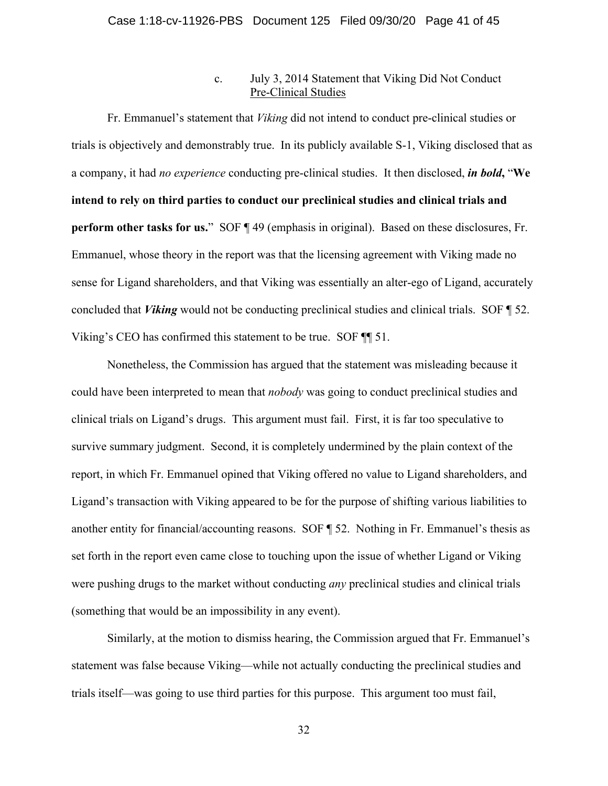## c. July 3, 2014 Statement that Viking Did Not Conduct Pre-Clinical Studies

Fr. Emmanuel's statement that *Viking* did not intend to conduct pre-clinical studies or trials is objectively and demonstrably true. In its publicly available S-1, Viking disclosed that as a company, it had *no experience* conducting pre-clinical studies. It then disclosed, *in bold***,** "**We intend to rely on third parties to conduct our preclinical studies and clinical trials and perform other tasks for us.**" SOF  $\P$  49 (emphasis in original). Based on these disclosures, Fr. Emmanuel, whose theory in the report was that the licensing agreement with Viking made no sense for Ligand shareholders, and that Viking was essentially an alter-ego of Ligand, accurately concluded that *Viking* would not be conducting preclinical studies and clinical trials. SOF ¶ 52. Viking's CEO has confirmed this statement to be true. SOF ¶¶ 51.

Nonetheless, the Commission has argued that the statement was misleading because it could have been interpreted to mean that *nobody* was going to conduct preclinical studies and clinical trials on Ligand's drugs. This argument must fail. First, it is far too speculative to survive summary judgment. Second, it is completely undermined by the plain context of the report, in which Fr. Emmanuel opined that Viking offered no value to Ligand shareholders, and Ligand's transaction with Viking appeared to be for the purpose of shifting various liabilities to another entity for financial/accounting reasons. SOF ¶ 52. Nothing in Fr. Emmanuel's thesis as set forth in the report even came close to touching upon the issue of whether Ligand or Viking were pushing drugs to the market without conducting *any* preclinical studies and clinical trials (something that would be an impossibility in any event).

Similarly, at the motion to dismiss hearing, the Commission argued that Fr. Emmanuel's statement was false because Viking—while not actually conducting the preclinical studies and trials itself—was going to use third parties for this purpose. This argument too must fail,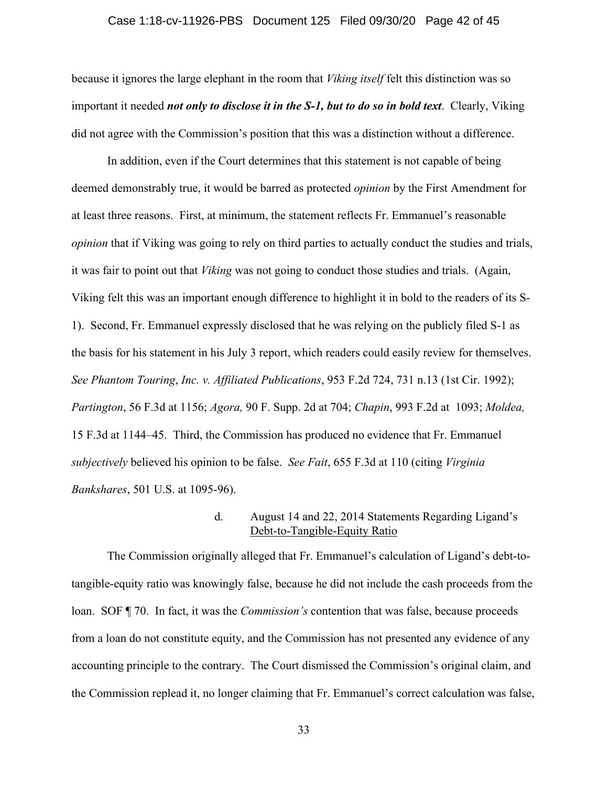# Case 1:18-cv-11926-PBS Document 125 Filed 09/30/20 Page 42 of 45

because it ignores the large elephant in the room that *Viking itself* felt this distinction was so important it needed *not only to disclose it in the S-1, but to do so in bold text*. Clearly, Viking did not agree with the Commission's position that this was a distinction without a difference.

In addition, even if the Court determines that this statement is not capable of being deemed demonstrably true, it would be barred as protected *opinion* by the First Amendment for at least three reasons. First, at minimum, the statement reflects Fr. Emmanuel's reasonable *opinion* that if Viking was going to rely on third parties to actually conduct the studies and trials, it was fair to point out that *Viking* was not going to conduct those studies and trials. (Again, Viking felt this was an important enough difference to highlight it in bold to the readers of its S-1). Second, Fr. Emmanuel expressly disclosed that he was relying on the publicly filed S-1 as the basis for his statement in his July 3 report, which readers could easily review for themselves. *See Phantom Touring*, *Inc. v. Affiliated Publications*, 953 F.2d 724, 731 n.13 (1st Cir. 1992); *Partington*, 56 F.3d at 1156; *Agora,* 90 F. Supp. 2d at 704; *Chapin*, 993 F.2d at 1093; *Moldea,* 15 F.3d at 1144–45. Third, the Commission has produced no evidence that Fr. Emmanuel *subjectively* believed his opinion to be false. *See Fait*, 655 F.3d at 110 (citing *Virginia Bankshares*, 501 U.S. at 1095-96).

### d. August 14 and 22, 2014 Statements Regarding Ligand's Debt-to-Tangible-Equity Ratio

The Commission originally alleged that Fr. Emmanuel's calculation of Ligand's debt-totangible-equity ratio was knowingly false, because he did not include the cash proceeds from the loan. SOF ¶ 70. In fact, it was the *Commission's* contention that was false, because proceeds from a loan do not constitute equity, and the Commission has not presented any evidence of any accounting principle to the contrary. The Court dismissed the Commission's original claim, and the Commission replead it, no longer claiming that Fr. Emmanuel's correct calculation was false,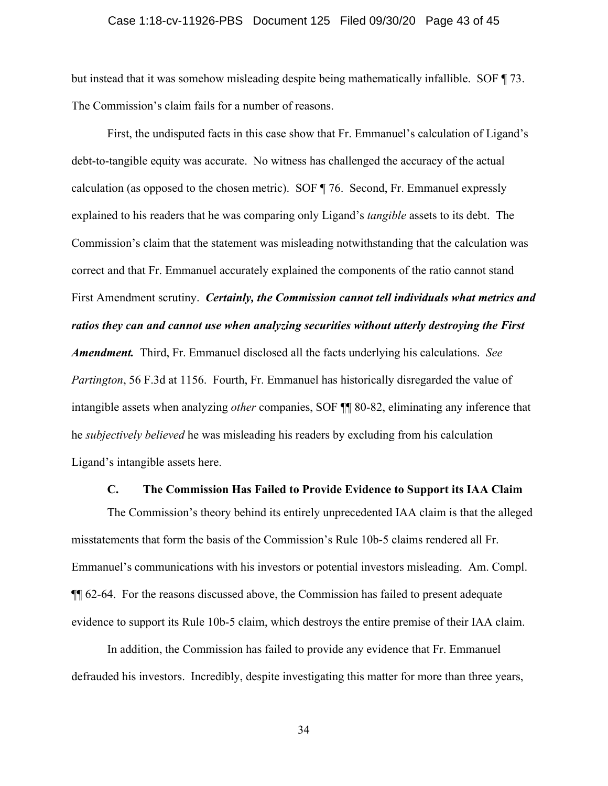## Case 1:18-cv-11926-PBS Document 125 Filed 09/30/20 Page 43 of 45

but instead that it was somehow misleading despite being mathematically infallible. SOF ¶ 73. The Commission's claim fails for a number of reasons.

First, the undisputed facts in this case show that Fr. Emmanuel's calculation of Ligand's debt-to-tangible equity was accurate. No witness has challenged the accuracy of the actual calculation (as opposed to the chosen metric). SOF ¶ 76. Second, Fr. Emmanuel expressly explained to his readers that he was comparing only Ligand's *tangible* assets to its debt. The Commission's claim that the statement was misleading notwithstanding that the calculation was correct and that Fr. Emmanuel accurately explained the components of the ratio cannot stand First Amendment scrutiny. *Certainly, the Commission cannot tell individuals what metrics and ratios they can and cannot use when analyzing securities without utterly destroying the First Amendment.* Third, Fr. Emmanuel disclosed all the facts underlying his calculations. *See Partington*, 56 F.3d at 1156. Fourth, Fr. Emmanuel has historically disregarded the value of intangible assets when analyzing *other* companies, SOF ¶¶ 80-82, eliminating any inference that he *subjectively believed* he was misleading his readers by excluding from his calculation Ligand's intangible assets here.

### **C. The Commission Has Failed to Provide Evidence to Support its IAA Claim**

The Commission's theory behind its entirely unprecedented IAA claim is that the alleged misstatements that form the basis of the Commission's Rule 10b-5 claims rendered all Fr. Emmanuel's communications with his investors or potential investors misleading. Am. Compl. ¶¶ 62-64. For the reasons discussed above, the Commission has failed to present adequate evidence to support its Rule 10b-5 claim, which destroys the entire premise of their IAA claim.

In addition, the Commission has failed to provide any evidence that Fr. Emmanuel defrauded his investors. Incredibly, despite investigating this matter for more than three years,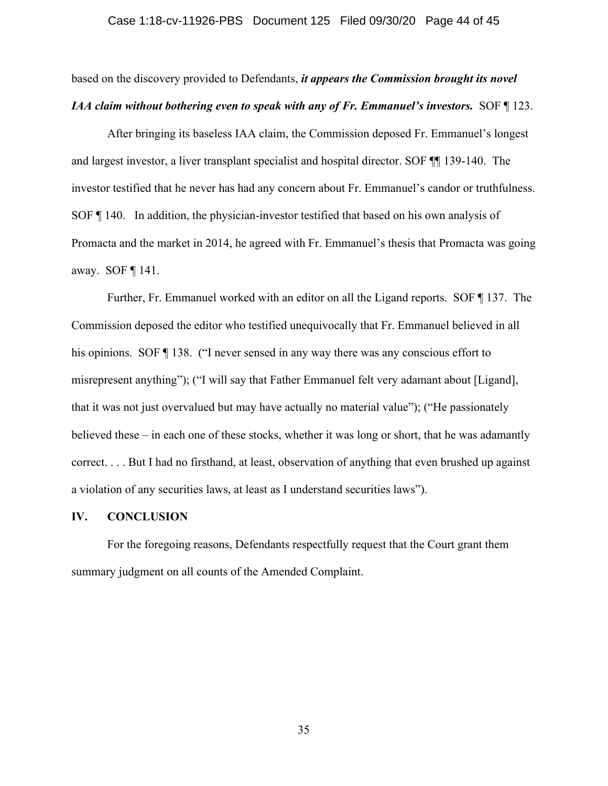# Case 1:18-cv-11926-PBS Document 125 Filed 09/30/20 Page 44 of 45

based on the discovery provided to Defendants, *it appears the Commission brought its novel IAA claim without bothering even to speak with any of Fr. Emmanuel's investors.* SOF ¶ 123.

After bringing its baseless IAA claim, the Commission deposed Fr. Emmanuel's longest and largest investor, a liver transplant specialist and hospital director. SOF ¶¶ 139-140. The investor testified that he never has had any concern about Fr. Emmanuel's candor or truthfulness. SOF ¶ 140. In addition, the physician-investor testified that based on his own analysis of Promacta and the market in 2014, he agreed with Fr. Emmanuel's thesis that Promacta was going away. SOF ¶ 141.

Further, Fr. Emmanuel worked with an editor on all the Ligand reports. SOF ¶ 137. The Commission deposed the editor who testified unequivocally that Fr. Emmanuel believed in all his opinions. SOF ¶ 138. ("I never sensed in any way there was any conscious effort to misrepresent anything"); ("I will say that Father Emmanuel felt very adamant about [Ligand], that it was not just overvalued but may have actually no material value"); ("He passionately believed these – in each one of these stocks, whether it was long or short, that he was adamantly correct. . . . But I had no firsthand, at least, observation of anything that even brushed up against a violation of any securities laws, at least as I understand securities laws").

#### **IV. CONCLUSION**

For the foregoing reasons, Defendants respectfully request that the Court grant them summary judgment on all counts of the Amended Complaint.